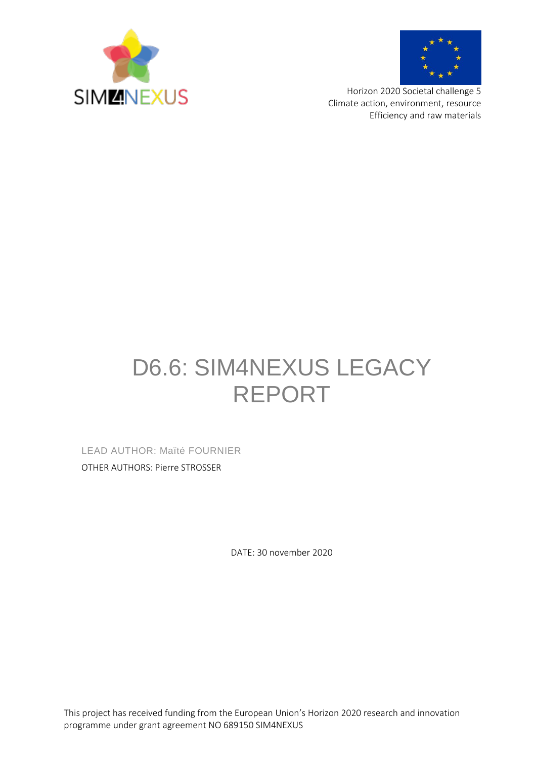



Horizon 2020 Societal challenge 5 Climate action, environment, resource Efficiency and raw materials

# D6.6: SIM4NEXUS LEGACY REPORT

LEAD AUTHOR: Maïté FOURNIER OTHER AUTHORS: Pierre STROSSER

DATE: 30 november 2020

This project has received funding from the European Union's Horizon 2020 research and innovation programme under grant agreement NO 689150 SIM4NEXUS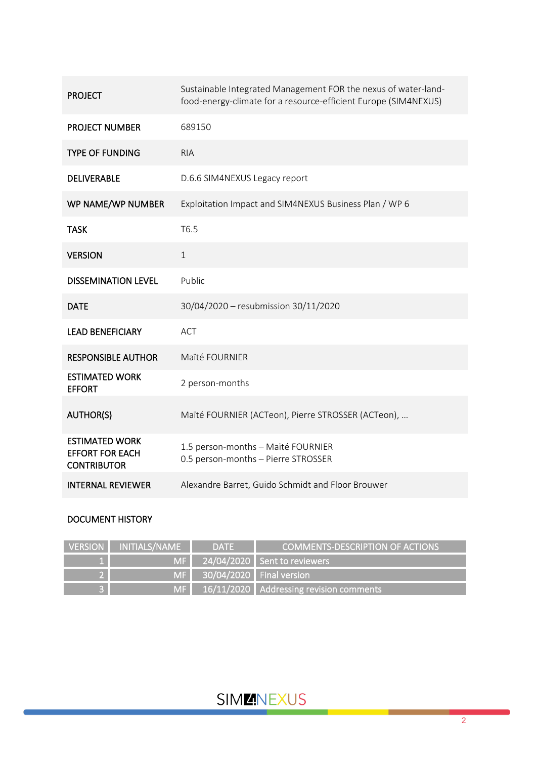| <b>PROJECT</b>                                                        | Sustainable Integrated Management FOR the nexus of water-land-<br>food-energy-climate for a resource-efficient Europe (SIM4NEXUS) |
|-----------------------------------------------------------------------|-----------------------------------------------------------------------------------------------------------------------------------|
| <b>PROJECT NUMBER</b>                                                 | 689150                                                                                                                            |
| <b>TYPE OF FUNDING</b>                                                | <b>RIA</b>                                                                                                                        |
| <b>DELIVERABLE</b>                                                    | D.6.6 SIM4NEXUS Legacy report                                                                                                     |
| WP NAME/WP NUMBER                                                     | Exploitation Impact and SIM4NEXUS Business Plan / WP 6                                                                            |
| <b>TASK</b>                                                           | T6.5                                                                                                                              |
| <b>VERSION</b>                                                        | $\mathbf{1}$                                                                                                                      |
| <b>DISSEMINATION LEVEL</b>                                            | Public                                                                                                                            |
| <b>DATE</b>                                                           | 30/04/2020 - resubmission 30/11/2020                                                                                              |
| <b>LEAD BENEFICIARY</b>                                               | <b>ACT</b>                                                                                                                        |
| <b>RESPONSIBLE AUTHOR</b>                                             | Maïté FOURNIER                                                                                                                    |
| <b>ESTIMATED WORK</b><br><b>EFFORT</b>                                | 2 person-months                                                                                                                   |
| <b>AUTHOR(S)</b>                                                      | Maïté FOURNIER (ACTeon), Pierre STROSSER (ACTeon),                                                                                |
| <b>ESTIMATED WORK</b><br><b>EFFORT FOR EACH</b><br><b>CONTRIBUTOR</b> | 1.5 person-months - Maïté FOURNIER<br>0.5 person-months - Pierre STROSSER                                                         |
| <b>INTERNAL REVIEWER</b>                                              | Alexandre Barret, Guido Schmidt and Floor Brouwer                                                                                 |

#### DOCUMENT HISTORY

| VERSION NITIALS/NAME | <b>DATE</b>                 | <b>COMMENTS-DESCRIPTION OF ACTIONS</b>              |
|----------------------|-----------------------------|-----------------------------------------------------|
|                      |                             | $\textsf{M}\textsf{F}$ 24/04/2020 Sent to reviewers |
|                      | MF 30/04/2020 Final version |                                                     |
|                      |                             | MF 16/11/2020 Addressing revision comments          |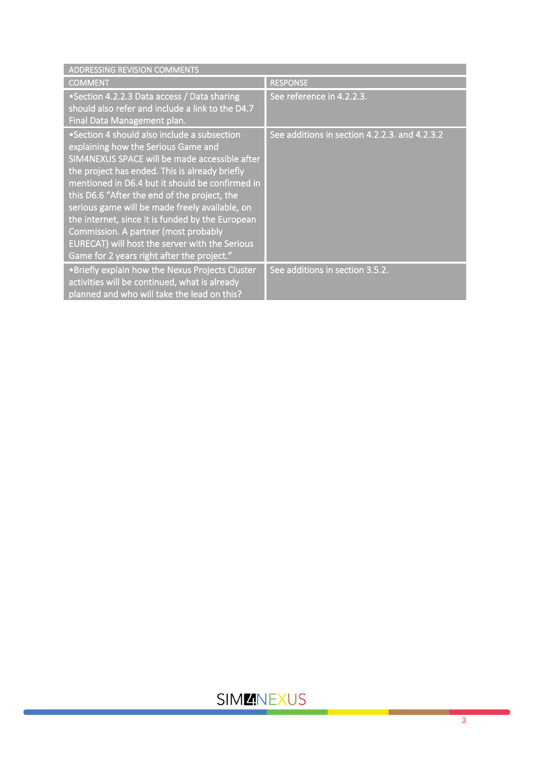| <b>ADDRESSING REVISION COMMENTS</b>                                                                                                                                                                                                                                                                                                                                                                                                                                                                                                    |                                               |
|----------------------------------------------------------------------------------------------------------------------------------------------------------------------------------------------------------------------------------------------------------------------------------------------------------------------------------------------------------------------------------------------------------------------------------------------------------------------------------------------------------------------------------------|-----------------------------------------------|
| <b>COMMENT</b>                                                                                                                                                                                                                                                                                                                                                                                                                                                                                                                         | <b>RESPONSE</b>                               |
| •Section 4.2.2.3 Data access / Data sharing<br>should also refer and include a link to the D4.7<br>Final Data Management plan.                                                                                                                                                                                                                                                                                                                                                                                                         | See reference in 4.2.2.3.                     |
| •Section 4 should also include a subsection<br>explaining how the Serious Game and<br>SIM4NEXUS SPACE will be made accessible after<br>the project has ended. This is already briefly<br>mentioned in D6.4 but it should be confirmed in<br>this D6.6 "After the end of the project, the<br>serious game will be made freely available, on<br>the internet, since it is funded by the European<br>Commission. A partner (most probably<br>EURECAT) will host the server with the Serious<br>Game for 2 years right after the project." | See additions in section 4.2.2.3. and 4.2.3.2 |
| . Briefly explain how the Nexus Projects Cluster<br>activities will be continued, what is already<br>planned and who will take the lead on this?                                                                                                                                                                                                                                                                                                                                                                                       | See additions in section 3.5.2.               |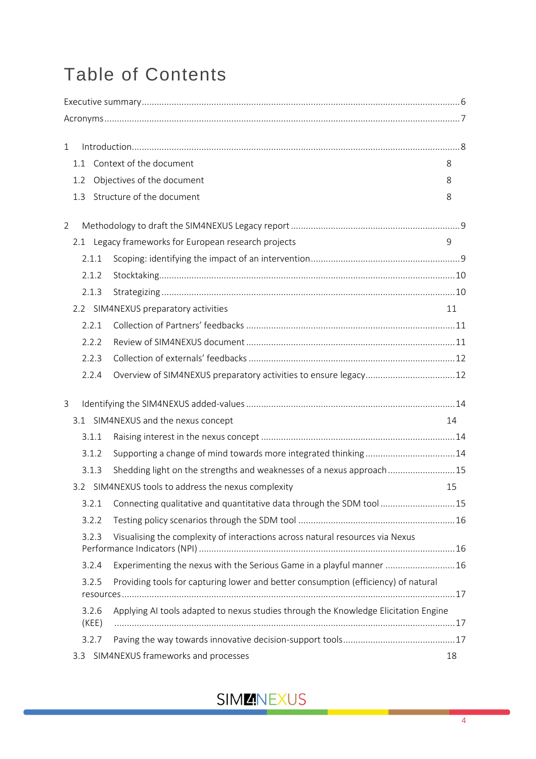# Table of Contents

| $\mathbf{1}$ |     |                |                                                                                                 |    |
|--------------|-----|----------------|-------------------------------------------------------------------------------------------------|----|
|              | 1.1 |                | Context of the document                                                                         | 8  |
|              | 1.2 |                | Objectives of the document                                                                      | 8  |
|              | 1.3 |                | Structure of the document                                                                       | 8  |
| 2            |     |                |                                                                                                 |    |
|              |     |                | 2.1 Legacy frameworks for European research projects                                            | 9  |
|              |     | 2.1.1          |                                                                                                 |    |
|              |     | 2.1.2          |                                                                                                 |    |
|              |     | 2.1.3          |                                                                                                 |    |
|              |     |                | 2.2 SIM4NEXUS preparatory activities                                                            | 11 |
|              |     | 2.2.1          |                                                                                                 |    |
|              |     | 2.2.2          |                                                                                                 |    |
|              |     | 2.2.3          |                                                                                                 |    |
|              |     | 2.2.4          |                                                                                                 |    |
| 3            |     |                |                                                                                                 |    |
|              |     |                | 3.1 SIM4NEXUS and the nexus concept                                                             | 14 |
|              |     | 3.1.1          |                                                                                                 |    |
|              |     | 3.1.2          |                                                                                                 |    |
|              |     | 3.1.3          | Shedding light on the strengths and weaknesses of a nexus approach 15                           |    |
|              |     |                | 3.2 SIM4NEXUS tools to address the nexus complexity                                             | 15 |
|              |     | 3.2.1          | Connecting qualitative and quantitative data through the SDM tool 15                            |    |
|              |     | 3.2.2          |                                                                                                 |    |
|              |     | 3.2.3          | Visualising the complexity of interactions across natural resources via Nexus                   |    |
|              |     | 3.2.4          | Experimenting the nexus with the Serious Game in a playful manner  16                           |    |
|              |     | 3.2.5          | Providing tools for capturing lower and better consumption (efficiency) of natural<br>resources |    |
|              |     | 3.2.6<br>(KEE) | Applying AI tools adapted to nexus studies through the Knowledge Elicitation Engine             |    |
|              |     | 3.2.7          |                                                                                                 |    |
|              | 3.3 |                | SIM4NEXUS frameworks and processes                                                              | 18 |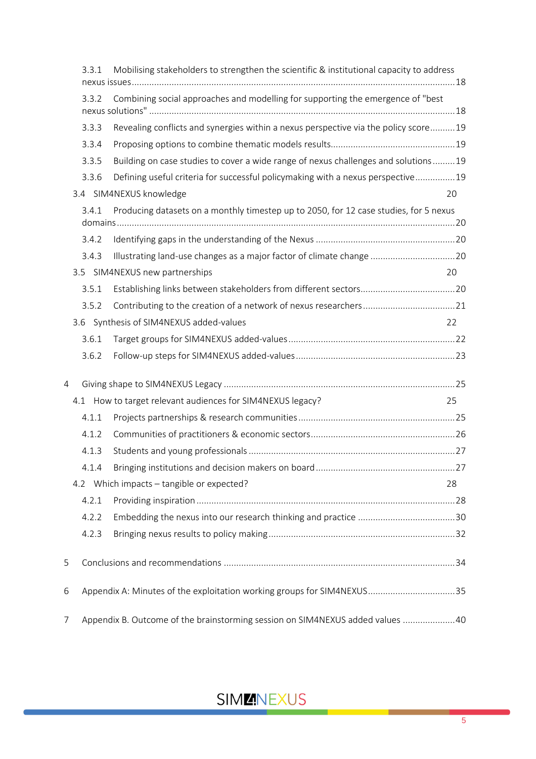|   | 3.3.1 | Mobilising stakeholders to strengthen the scientific & institutional capacity to address |    |
|---|-------|------------------------------------------------------------------------------------------|----|
|   | 3.3.2 | Combining social approaches and modelling for supporting the emergence of "best          |    |
|   | 3.3.3 | Revealing conflicts and synergies within a nexus perspective via the policy score 19     |    |
|   | 3.3.4 |                                                                                          |    |
|   | 3.3.5 | Building on case studies to cover a wide range of nexus challenges and solutions 19      |    |
|   | 3.3.6 | Defining useful criteria for successful policymaking with a nexus perspective 19         |    |
|   |       | 3.4 SIM4NEXUS knowledge                                                                  | 20 |
|   | 3.4.1 | Producing datasets on a monthly timestep up to 2050, for 12 case studies, for 5 nexus    |    |
|   | 3.4.2 |                                                                                          |    |
|   | 3.4.3 | Illustrating land-use changes as a major factor of climate change  20                    |    |
|   |       | 3.5 SIM4NEXUS new partnerships                                                           | 20 |
|   | 3.5.1 |                                                                                          |    |
|   | 3.5.2 |                                                                                          |    |
|   |       | 3.6 Synthesis of SIM4NEXUS added-values                                                  | 22 |
|   | 3.6.1 |                                                                                          |    |
|   | 3.6.2 |                                                                                          |    |
| 4 |       |                                                                                          |    |
|   |       | 4.1 How to target relevant audiences for SIM4NEXUS legacy?                               | 25 |
|   | 4.1.1 |                                                                                          |    |
|   | 4.1.2 |                                                                                          |    |
|   | 4.1.3 |                                                                                          |    |
|   | 4.1.4 |                                                                                          |    |
|   |       | 4.2 Which impacts - tangible or expected?                                                | 28 |
|   | 4.2.1 |                                                                                          |    |
|   | 4.2.2 |                                                                                          |    |
|   | 4.2.3 |                                                                                          |    |
| 5 |       |                                                                                          |    |
| 6 |       | Appendix A: Minutes of the exploitation working groups for SIM4NEXUS35                   |    |
| 7 |       | Appendix B. Outcome of the brainstorming session on SIM4NEXUS added values 40            |    |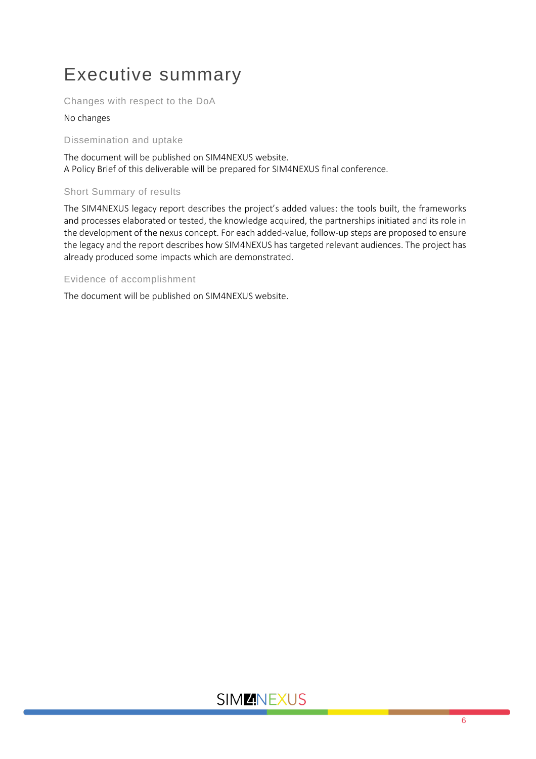# <span id="page-5-0"></span>Executive summary

Changes with respect to the DoA

#### No changes

Dissemination and uptake

The document will be published on SIM4NEXUS website. A Policy Brief of this deliverable will be prepared for SIM4NEXUS final conference.

#### Short Summary of results

The SIM4NEXUS legacy report describes the project's added values: the tools built, the frameworks and processes elaborated or tested, the knowledge acquired, the partnerships initiated and its role in the development of the nexus concept. For each added-value, follow-up steps are proposed to ensure the legacy and the report describes how SIM4NEXUS has targeted relevant audiences. The project has already produced some impacts which are demonstrated.

#### Evidence of accomplishment

The document will be published on SIM4NEXUS website.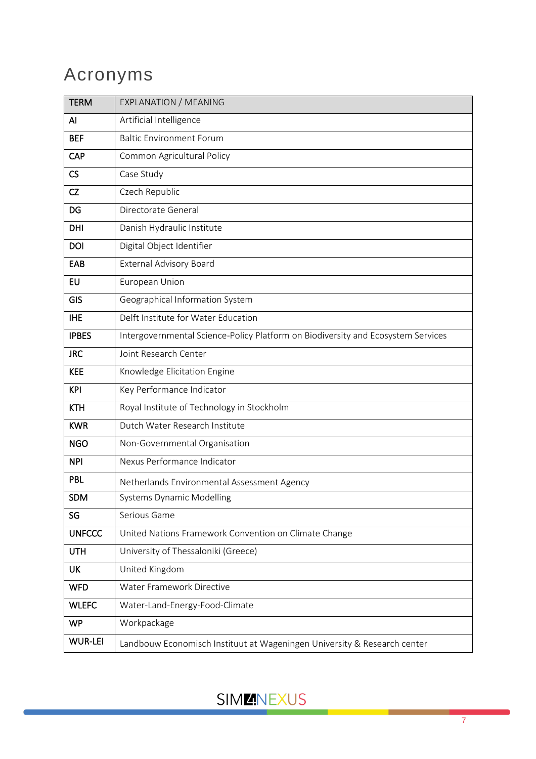# <span id="page-6-0"></span>Acronyms

<span id="page-6-1"></span>

| <b>TERM</b>    | <b>EXPLANATION / MEANING</b>                                                     |
|----------------|----------------------------------------------------------------------------------|
| AI             | Artificial Intelligence                                                          |
| <b>BEF</b>     | <b>Baltic Environment Forum</b>                                                  |
| CAP            | Common Agricultural Policy                                                       |
| CS             | Case Study                                                                       |
| CZ             | Czech Republic                                                                   |
| DG             | Directorate General                                                              |
| <b>DHI</b>     | Danish Hydraulic Institute                                                       |
| <b>DOI</b>     | Digital Object Identifier                                                        |
| EAB            | <b>External Advisory Board</b>                                                   |
| <b>EU</b>      | European Union                                                                   |
| <b>GIS</b>     | Geographical Information System                                                  |
| <b>IHE</b>     | Delft Institute for Water Education                                              |
| <b>IPBES</b>   | Intergovernmental Science-Policy Platform on Biodiversity and Ecosystem Services |
| <b>JRC</b>     | Joint Research Center                                                            |
| <b>KEE</b>     | Knowledge Elicitation Engine                                                     |
| <b>KPI</b>     | Key Performance Indicator                                                        |
| <b>KTH</b>     | Royal Institute of Technology in Stockholm                                       |
| <b>KWR</b>     | Dutch Water Research Institute                                                   |
| <b>NGO</b>     | Non-Governmental Organisation                                                    |
| <b>NPI</b>     | Nexus Performance Indicator                                                      |
| <b>PBL</b>     | Netherlands Environmental Assessment Agency                                      |
| <b>SDM</b>     | <b>Systems Dynamic Modelling</b>                                                 |
| SG             | Serious Game                                                                     |
| <b>UNFCCC</b>  | United Nations Framework Convention on Climate Change                            |
| <b>UTH</b>     | University of Thessaloniki (Greece)                                              |
| UK             | United Kingdom                                                                   |
| <b>WFD</b>     | Water Framework Directive                                                        |
| <b>WLEFC</b>   | Water-Land-Energy-Food-Climate                                                   |
| <b>WP</b>      | Workpackage                                                                      |
| <b>WUR-LEI</b> | Landbouw Economisch Instituut at Wageningen University & Research center         |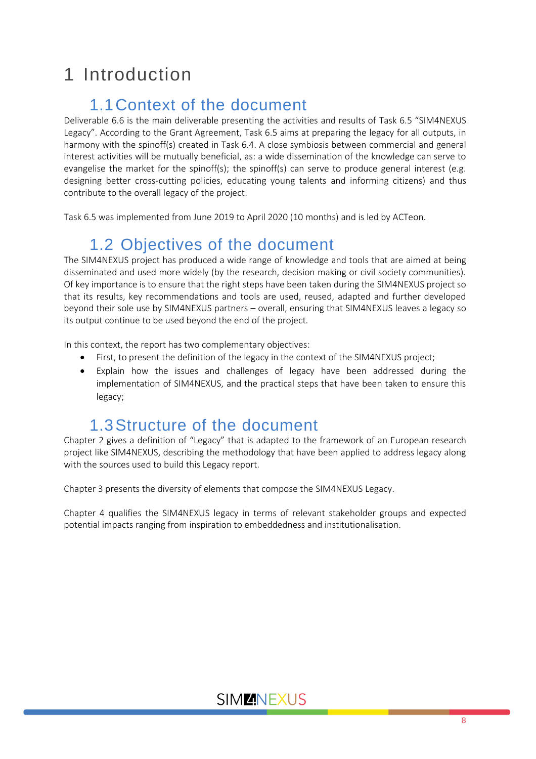# 1 Introduction

# 1.1Context of the document

<span id="page-7-0"></span>Deliverable 6.6 is the main deliverable presenting the activities and results of Task 6.5 "SIM4NEXUS Legacy". According to the Grant Agreement, Task 6.5 aims at preparing the legacy for all outputs, in harmony with the spinoff(s) created in Task 6.4. A close symbiosis between commercial and general interest activities will be mutually beneficial, as: a wide dissemination of the knowledge can serve to evangelise the market for the spinoff(s); the spinoff(s) can serve to produce general interest (e.g. designing better cross-cutting policies, educating young talents and informing citizens) and thus contribute to the overall legacy of the project.

Task 6.5 was implemented from June 2019 to April 2020 (10 months) and is led by ACTeon.

# <span id="page-7-1"></span>1.2 Objectives of the document

The SIM4NEXUS project has produced a wide range of knowledge and tools that are aimed at being disseminated and used more widely (by the research, decision making or civil society communities). Of key importance is to ensure that the right steps have been taken during the SIM4NEXUS project so that its results, key recommendations and tools are used, reused, adapted and further developed beyond their sole use by SIM4NEXUS partners – overall, ensuring that SIM4NEXUS leaves a legacy so its output continue to be used beyond the end of the project.

In this context, the report has two complementary objectives:

- First, to present the definition of the legacy in the context of the SIM4NEXUS project;
- Explain how the issues and challenges of legacy have been addressed during the implementation of SIM4NEXUS, and the practical steps that have been taken to ensure this legacy;

# 1.3Structure of the document

<span id="page-7-2"></span>Chapter 2 gives a definition of "Legacy" that is adapted to the framework of an European research project like SIM4NEXUS, describing the methodology that have been applied to address legacy along with the sources used to build this Legacy report.

Chapter 3 presents the diversity of elements that compose the SIM4NEXUS Legacy.

Chapter 4 qualifies the SIM4NEXUS legacy in terms of relevant stakeholder groups and expected potential impacts ranging from inspiration to embeddedness and institutionalisation.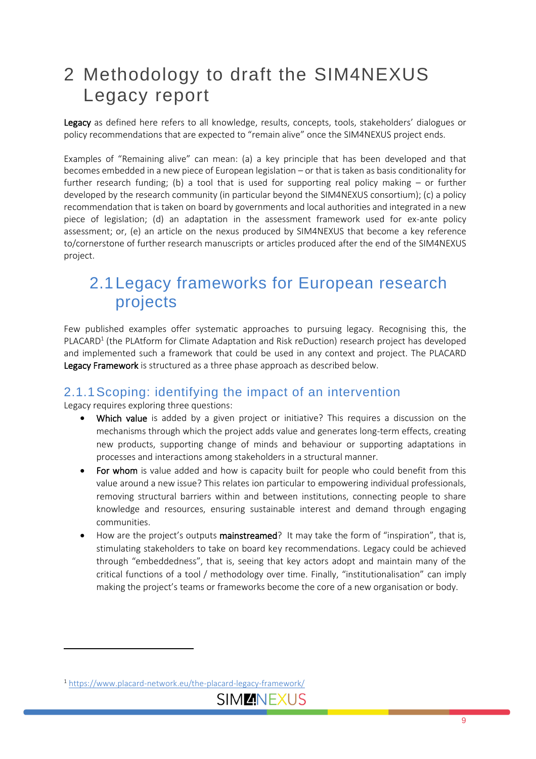# <span id="page-8-0"></span>2 Methodology to draft the SIM4NEXUS Legacy report

Legacy as defined here refers to all knowledge, results, concepts, tools, stakeholders' dialogues or policy recommendations that are expected to "remain alive" once the SIM4NEXUS project ends.

Examples of "Remaining alive" can mean: (a) a key principle that has been developed and that becomes embedded in a new piece of European legislation – or that is taken as basis conditionality for further research funding; (b) a tool that is used for supporting real policy making  $-$  or further developed by the research community (in particular beyond the SIM4NEXUS consortium); (c) a policy recommendation that is taken on board by governments and local authorities and integrated in a new piece of legislation; (d) an adaptation in the assessment framework used for ex-ante policy assessment; or, (e) an article on the nexus produced by SIM4NEXUS that become a key reference to/cornerstone of further research manuscripts or articles produced after the end of the SIM4NEXUS project.

## <span id="page-8-1"></span>2.1Legacy frameworks for European research projects

Few published examples offer systematic approaches to pursuing legacy. Recognising this, the PLACARD<sup>1</sup> (the PLAtform for Climate Adaptation and Risk reDuction) research project has developed and implemented such a framework that could be used in any context and project. The PLACARD Legacy Framework is structured as a three phase approach as described below.

### <span id="page-8-2"></span>2.1.1Scoping: identifying the impact of an intervention

Legacy requires exploring three questions:

- Which value is added by a given project or initiative? This requires a discussion on the mechanisms through which the project adds value and generates long-term effects, creating new products, supporting change of minds and behaviour or supporting adaptations in processes and interactions among stakeholders in a structural manner.
- For whom is value added and how is capacity built for people who could benefit from this value around a new issue? This relates ion particular to empowering individual professionals, removing structural barriers within and between institutions, connecting people to share knowledge and resources, ensuring sustainable interest and demand through engaging communities.
- How are the project's outputs mainstreamed? It may take the form of "inspiration", that is, stimulating stakeholders to take on board key recommendations. Legacy could be achieved through "embeddedness", that is, seeing that key actors adopt and maintain many of the critical functions of a tool / methodology over time. Finally, "institutionalisation" can imply making the project's teams or frameworks become the core of a new organisation or body.

<sup>1</sup> <https://www.placard-network.eu/the-placard-legacy-framework/>

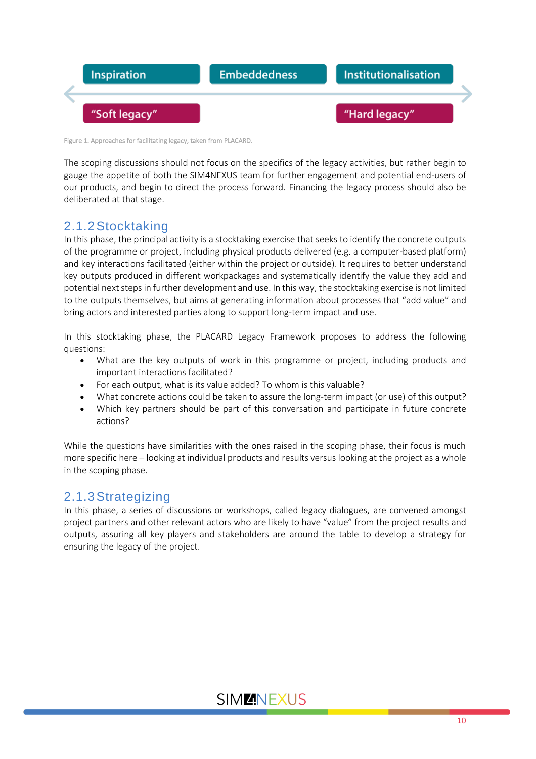

Figure 1. Approaches for facilitating legacy, taken from PLACARD.

The scoping discussions should not focus on the specifics of the legacy activities, but rather begin to gauge the appetite of both the SIM4NEXUS team for further engagement and potential end-users of our products, and begin to direct the process forward. Financing the legacy process should also be deliberated at that stage.

### <span id="page-9-0"></span>2.1.2Stocktaking

In this phase, the principal activity is a stocktaking exercise that seeks to identify the concrete outputs of the programme or project, including physical products delivered (e.g. a computer-based platform) and key interactions facilitated (either within the project or outside). It requires to better understand key outputs produced in different workpackages and systematically identify the value they add and potential next stepsin further development and use. In this way, the stocktaking exercise is not limited to the outputs themselves, but aims at generating information about processes that "add value" and bring actors and interested parties along to support long-term impact and use.

In this stocktaking phase, the PLACARD Legacy Framework proposes to address the following questions:

- What are the key outputs of work in this programme or project, including products and important interactions facilitated?
- For each output, what is its value added? To whom is this valuable?
- What concrete actions could be taken to assure the long-term impact (or use) of this output?
- Which key partners should be part of this conversation and participate in future concrete actions?

While the questions have similarities with the ones raised in the scoping phase, their focus is much more specific here – looking at individual products and results versus looking at the project as a whole in the scoping phase.

### <span id="page-9-1"></span>2.1.3Strategizing

In this phase, a series of discussions or workshops, called legacy dialogues, are convened amongst project partners and other relevant actors who are likely to have "value" from the project results and outputs, assuring all key players and stakeholders are around the table to develop a strategy for ensuring the legacy of the project.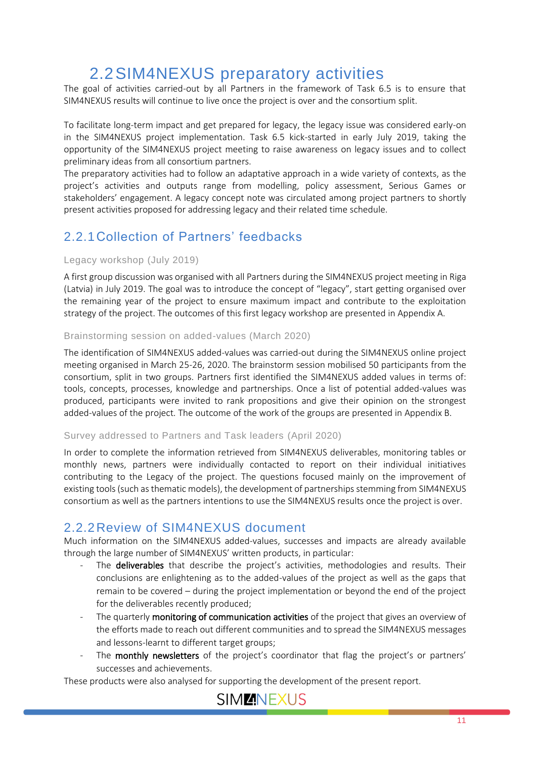# 2.2SIM4NEXUS preparatory activities

<span id="page-10-0"></span>The goal of activities carried-out by all Partners in the framework of Task 6.5 is to ensure that SIM4NEXUS results will continue to live once the project is over and the consortium split.

To facilitate long-term impact and get prepared for legacy, the legacy issue was considered early-on in the SIM4NEXUS project implementation. Task 6.5 kick-started in early July 2019, taking the opportunity of the SIM4NEXUS project meeting to raise awareness on legacy issues and to collect preliminary ideas from all consortium partners.

The preparatory activities had to follow an adaptative approach in a wide variety of contexts, as the project's activities and outputs range from modelling, policy assessment, Serious Games or stakeholders' engagement. A legacy concept note was circulated among project partners to shortly present activities proposed for addressing legacy and their related time schedule.

### <span id="page-10-1"></span>2.2.1Collection of Partners' feedbacks

#### Legacy workshop (July 2019)

A first group discussion was organised with all Partners during the SIM4NEXUS project meeting in Riga (Latvia) in July 2019. The goal was to introduce the concept of "legacy", start getting organised over the remaining year of the project to ensure maximum impact and contribute to the exploitation strategy of the project. The outcomes of this first legacy workshop are presented in Appendix A.

#### Brainstorming session on added-values (March 2020)

The identification of SIM4NEXUS added-values was carried-out during the SIM4NEXUS online project meeting organised in March 25-26, 2020. The brainstorm session mobilised 50 participants from the consortium, split in two groups. Partners first identified the SIM4NEXUS added values in terms of: tools, concepts, processes, knowledge and partnerships. Once a list of potential added-values was produced, participants were invited to rank propositions and give their opinion on the strongest added-values of the project. The outcome of the work of the groups are presented in Appendix B.

#### Survey addressed to Partners and Task leaders (April 2020)

In order to complete the information retrieved from SIM4NEXUS deliverables, monitoring tables or monthly news, partners were individually contacted to report on their individual initiatives contributing to the Legacy of the project. The questions focused mainly on the improvement of existing tools (such as thematic models), the development of partnerships stemming from SIM4NEXUS consortium as well as the partners intentions to use the SIM4NEXUS results once the project is over.

### <span id="page-10-2"></span>2.2.2Review of SIM4NEXUS document

Much information on the SIM4NEXUS added-values, successes and impacts are already available through the large number of SIM4NEXUS' written products, in particular:

- The deliverables that describe the project's activities, methodologies and results. Their conclusions are enlightening as to the added-values of the project as well as the gaps that remain to be covered – during the project implementation or beyond the end of the project for the deliverables recently produced;
- The quarterly **monitoring of communication activities** of the project that gives an overview of the efforts made to reach out different communities and to spread the SIM4NEXUS messages and lessons-learnt to different target groups;
- The monthly newsletters of the project's coordinator that flag the project's or partners' successes and achievements.

These products were also analysed for supporting the development of the present report.

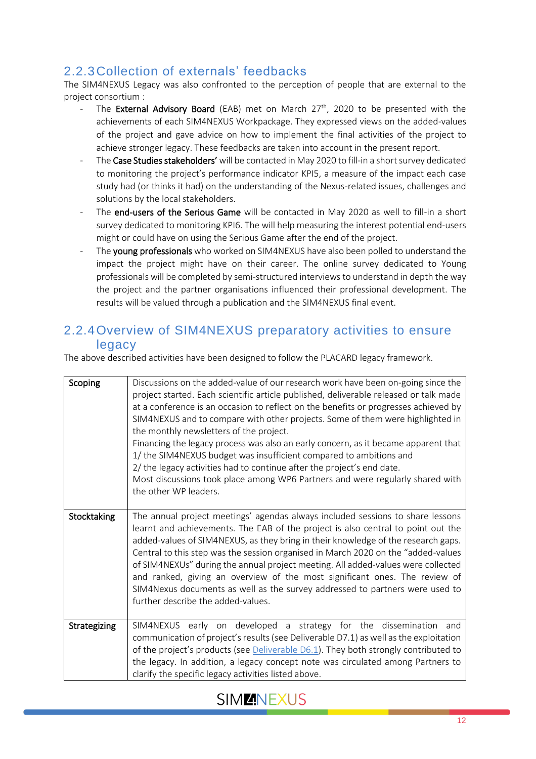### <span id="page-11-0"></span>2.2.3Collection of externals' feedbacks

The SIM4NEXUS Legacy was also confronted to the perception of people that are external to the project consortium :

- The **External Advisory Board** (EAB) met on March  $27<sup>th</sup>$ , 2020 to be presented with the achievements of each SIM4NEXUS Workpackage. They expressed views on the added-values of the project and gave advice on how to implement the final activities of the project to achieve stronger legacy. These feedbacks are taken into account in the present report.
- The Case Studies stakeholders' will be contacted in May 2020 to fill-in a short survey dedicated to monitoring the project's performance indicator KPI5, a measure of the impact each case study had (or thinks it had) on the understanding of the Nexus-related issues, challenges and solutions by the local stakeholders.
- The end-users of the Serious Game will be contacted in May 2020 as well to fill-in a short survey dedicated to monitoring KPI6. The will help measuring the interest potential end-users might or could have on using the Serious Game after the end of the project.
- The young professionals who worked on SIM4NEXUS have also been polled to understand the impact the project might have on their career. The online survey dedicated to Young professionals will be completed by semi-structured interviews to understand in depth the way the project and the partner organisations influenced their professional development. The results will be valued through a publication and the SIM4NEXUS final event.

#### <span id="page-11-1"></span>2.2.4Overview of SIM4NEXUS preparatory activities to ensure legacy

The above described activities have been designed to follow the PLACARD legacy framework.

| Scoping      | Discussions on the added-value of our research work have been on-going since the<br>project started. Each scientific article published, deliverable released or talk made<br>at a conference is an occasion to reflect on the benefits or progresses achieved by<br>SIM4NEXUS and to compare with other projects. Some of them were highlighted in<br>the monthly newsletters of the project.<br>Financing the legacy process was also an early concern, as it became apparent that<br>1/ the SIM4NEXUS budget was insufficient compared to ambitions and<br>2/ the legacy activities had to continue after the project's end date.<br>Most discussions took place among WP6 Partners and were regularly shared with<br>the other WP leaders. |
|--------------|-----------------------------------------------------------------------------------------------------------------------------------------------------------------------------------------------------------------------------------------------------------------------------------------------------------------------------------------------------------------------------------------------------------------------------------------------------------------------------------------------------------------------------------------------------------------------------------------------------------------------------------------------------------------------------------------------------------------------------------------------|
| Stocktaking  | The annual project meetings' agendas always included sessions to share lessons<br>learnt and achievements. The EAB of the project is also central to point out the<br>added-values of SIM4NEXUS, as they bring in their knowledge of the research gaps.<br>Central to this step was the session organised in March 2020 on the "added-values"<br>of SIM4NEXUs" during the annual project meeting. All added-values were collected<br>and ranked, giving an overview of the most significant ones. The review of<br>SIM4Nexus documents as well as the survey addressed to partners were used to<br>further describe the added-values.                                                                                                         |
| Strategizing | SIM4NEXUS early on developed a strategy for the dissemination and<br>communication of project's results (see Deliverable D7.1) as well as the exploitation<br>of the project's products (see Deliverable D6.1). They both strongly contributed to<br>the legacy. In addition, a legacy concept note was circulated among Partners to<br>clarify the specific legacy activities listed above.                                                                                                                                                                                                                                                                                                                                                  |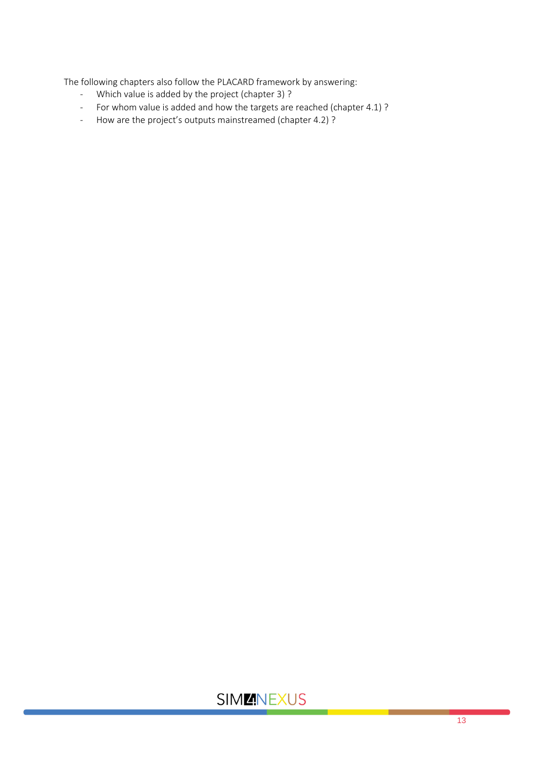The following chapters also follow the PLACARD framework by answering:<br>- Which value is added by the project (chapter 3) ?

- Which value is added by the project (chapter 3) ?
- For whom value is added and how the targets are reached (chapter 4.1) ?
- How are the project's outputs mainstreamed (chapter 4.2) ?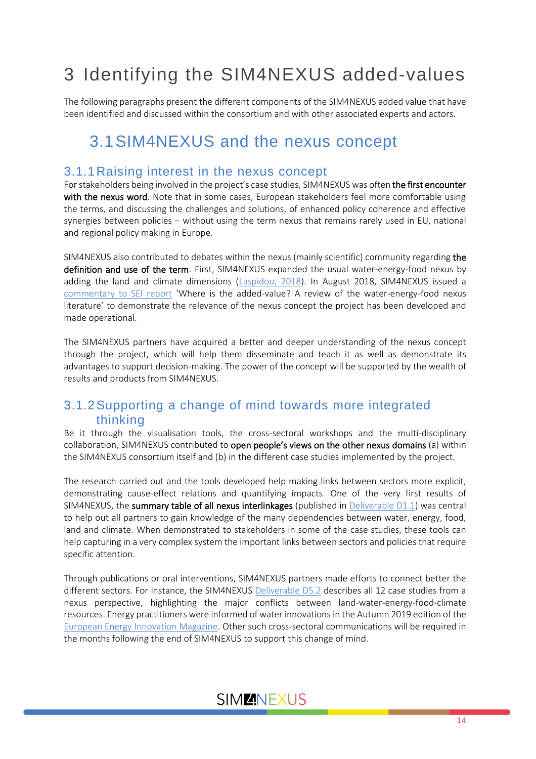# <span id="page-13-0"></span>3 Identifying the SIM4NEXUS added-values

The following paragraphs present the different components of the SIM4NEXUS added value that have been identified and discussed within the consortium and with other associated experts and actors.

### <span id="page-13-1"></span>3.1SIM4NEXUS and the nexus concept

#### <span id="page-13-2"></span>3.1.1Raising interest in the nexus concept

For stakeholders being involved in the project's case studies, SIM4NEXUS was often the first encounter with the nexus word. Note that in some cases, European stakeholders feel more comfortable using the terms, and discussing the challenges and solutions, of enhanced policy coherence and effective synergies between policies – without using the term nexus that remains rarely used in EU, national and regional policy making in Europe.

SIM4NEXUS also contributed to debates within the nexus (mainly scientific) community regarding the definition and use of the term. First, SIM4NEXUS expanded the usual water-energy-food nexus by adding the land and climate dimensions [\(Laspidou, 2018\)](https://www.sim4nexus.eu/userfiles/Deliverables/2018.08.06_Laspidou%20Proceedings%202018.pdf). In August 2018, SIM4NEXUS issued a [commentary to SEI report](https://www.sim4nexus.eu/userfiles/Deliverables/Commentary%20to%20SEI%20paper%20on%20Nexus.pdf) 'Where is the added-value? A review of the water-energy-food nexus literature' to demonstrate the relevance of the nexus concept the project has been developed and made operational.

The SIM4NEXUS partners have acquired a better and deeper understanding of the nexus concept through the project, which will help them disseminate and teach it as well as demonstrate its advantages to support decision-making. The power of the concept will be supported by the wealth of results and products from SIM4NEXUS.

### <span id="page-13-3"></span>3.1.2Supporting a change of mind towards more integrated thinking

Be it through the visualisation tools, the cross-sectoral workshops and the multi-disciplinary collaboration, SIM4NEXUS contributed to open people's views on the other nexus domains (a) within the SIM4NEXUS consortium itself and (b) in the different case studies implemented by the project.

The research carried out and the tools developed help making links between sectors more explicit, demonstrating cause-effect relations and quantifying impacts. One of the very first results of SIM4NEXUS, the summary table of all nexus interlinkages (published in Deliverable  $D1.1$ ) was central to help out all partners to gain knowledge of the many dependencies between water, energy, food, land and climate. When demonstrated to stakeholders in some of the case studies, these tools can help capturing in a very complex system the important links between sectors and policies that require specific attention.

Through publications or oral interventions, SIM4NEXUS partners made efforts to connect better the different sectors. For instance, the SIM4NEXUS [Deliverable D5.2](https://www.sim4nexus.eu/userfiles/Deliverables/Deliverable%20D5.2.pdf) describes all 12 case studies from a nexus perspective, highlighting the major conflicts between land-water-energy-food-climate resources. Energy practitioners were informed of water innovations in the Autumn 2019 edition of the [European Energy Innovation Magazine.](http://www.europeanenergyinnovation.eu/OnlinePublication/Autumn2019/mobile/index.html#p=53) Other such cross-sectoral communications will be required in the months following the end of SIM4NEXUS to support this change of mind.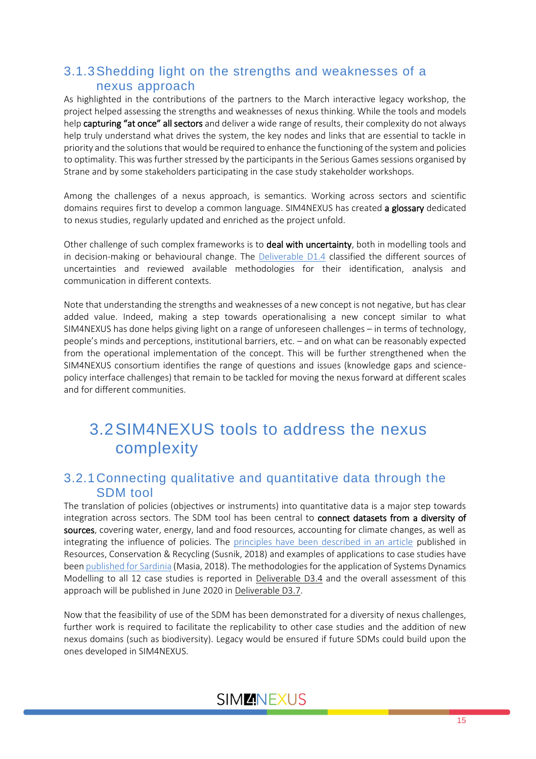### <span id="page-14-0"></span>3.1.3Shedding light on the strengths and weaknesses of a nexus approach

As highlighted in the contributions of the partners to the March interactive legacy workshop, the project helped assessing the strengths and weaknesses of nexus thinking. While the tools and models help capturing "at once" all sectors and deliver a wide range of results, their complexity do not always help truly understand what drives the system, the key nodes and links that are essential to tackle in priority and the solutions that would be required to enhance the functioning of the system and policies to optimality. This was further stressed by the participants in the Serious Games sessions organised by Strane and by some stakeholders participating in the case study stakeholder workshops.

Among the challenges of a nexus approach, is semantics. Working across sectors and scientific domains requires first to develop a common language. SIM4NEXUS has created a glossary dedicated to nexus studies, regularly updated and enriched as the project unfold.

Other challenge of such complex frameworks is to deal with uncertainty, both in modelling tools and in decision-making or behavioural change. The [Deliverable](https://www.sim4nexus.eu/userfiles/Deliverables/Deliverable_D1.4.pdf) D1.4 classified the different sources of uncertainties and reviewed available methodologies for their identification, analysis and communication in different contexts.

Note that understanding the strengths and weaknesses of a new concept is not negative, but has clear added value. Indeed, making a step towards operationalising a new concept similar to what SIM4NEXUS has done helps giving light on a range of unforeseen challenges – in terms of technology, people's minds and perceptions, institutional barriers, etc. – and on what can be reasonably expected from the operational implementation of the concept. This will be further strengthened when the SIM4NEXUS consortium identifies the range of questions and issues (knowledge gaps and sciencepolicy interface challenges) that remain to be tackled for moving the nexus forward at different scales and for different communities.

## <span id="page-14-1"></span>3.2SIM4NEXUS tools to address the nexus complexity

### <span id="page-14-2"></span>3.2.1Connecting qualitative and quantitative data through the SDM tool

The translation of policies (objectives or instruments) into quantitative data is a major step towards integration across sectors. The SDM tool has been central to connect datasets from a diversity of sources, covering water, energy, land and food resources, accounting for climate changes, as well as integrating the influence of policies. The [principles have been described in an article](https://www.sim4nexus.eu/userfiles/Deliverables/2018.06.01_Susnik_1-s2.0-S092134491830082X-main%20(1)_noa.pdf) published in Resources, Conservation & Recycling (Susnik, 2018) and examples of applications to case studies have bee[n published for Sardinia](file:///C:/Users/PierreStrosser/AppData/Local/Packages/Microsoft.Office.Desktop_8wekyb3d8bbwe/AC/INetCache/Content.Outlook/TI9K3SFS/Assessment%20of%20Irrigated%20Agriculture%20Vulnerabilityunder%20Climate%20Change%20in%20Southern%20Italy) (Masia, 2018). The methodologies for the application of Systems Dynamics Modelling to all 12 case studies is reported in Deliverable D3.4 and the overall assessment of this approach will be published in June 2020 in Deliverable D3.7.

Now that the feasibility of use of the SDM has been demonstrated for a diversity of nexus challenges, further work is required to facilitate the replicability to other case studies and the addition of new nexus domains (such as biodiversity). Legacy would be ensured if future SDMs could build upon the ones developed in SIM4NEXUS.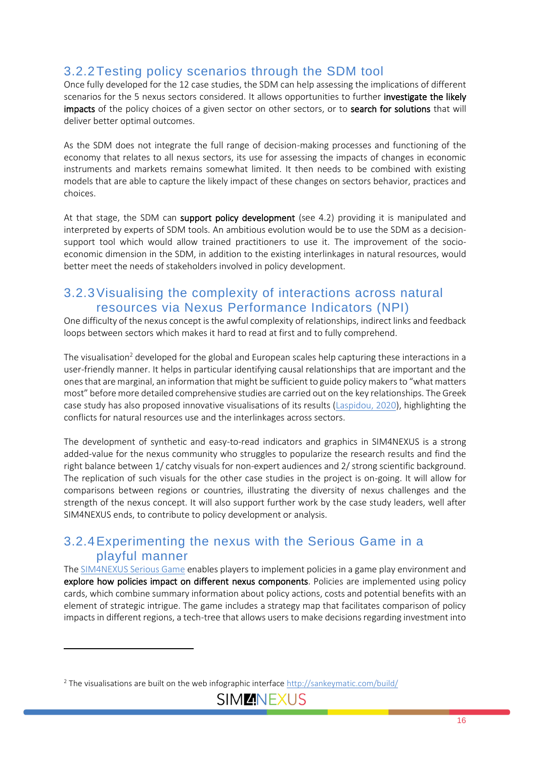### <span id="page-15-0"></span>3.2.2Testing policy scenarios through the SDM tool

Once fully developed for the 12 case studies, the SDM can help assessing the implications of different scenarios for the 5 nexus sectors considered. It allows opportunities to further investigate the likely impacts of the policy choices of a given sector on other sectors, or to search for solutions that will deliver better optimal outcomes.

As the SDM does not integrate the full range of decision-making processes and functioning of the economy that relates to all nexus sectors, its use for assessing the impacts of changes in economic instruments and markets remains somewhat limited. It then needs to be combined with existing models that are able to capture the likely impact of these changes on sectors behavior, practices and choices.

At that stage, the SDM can support policy development (see 4.2) providing it is manipulated and interpreted by experts of SDM tools. An ambitious evolution would be to use the SDM as a decisionsupport tool which would allow trained practitioners to use it. The improvement of the socioeconomic dimension in the SDM, in addition to the existing interlinkages in natural resources, would better meet the needs of stakeholders involved in policy development.

### <span id="page-15-1"></span>3.2.3Visualising the complexity of interactions across natural resources via Nexus Performance Indicators (NPI)

One difficulty of the nexus concept is the awful complexity of relationships, indirect links and feedback loops between sectors which makes it hard to read at first and to fully comprehend.

The visualisation<sup>2</sup> developed for the global and European scales help capturing these interactions in a user-friendly manner. It helps in particular identifying causal relationships that are important and the ones that are marginal, an information that might be sufficient to guide policy makers to "what matters most" before more detailed comprehensive studies are carried out on the key relationships. The Greek case study has also proposed innovative visualisations of its results [\(Laspidou, 2020\)](https://www.sciencedirect.com/science/article/pii/S0048969720307749?via%3Dihub), highlighting the conflicts for natural resources use and the interlinkages across sectors.

The development of synthetic and easy-to-read indicators and graphics in SIM4NEXUS is a strong added-value for the nexus community who struggles to popularize the research results and find the right balance between 1/ catchy visuals for non-expert audiences and 2/ strong scientific background. The replication of such visuals for the other case studies in the project is on-going. It will allow for comparisons between regions or countries, illustrating the diversity of nexus challenges and the strength of the nexus concept. It will also support further work by the case study leaders, well after SIM4NEXUS ends, to contribute to policy development or analysis.

### <span id="page-15-2"></span>3.2.4Experimenting the nexus with the Serious Game in a playful manner

The SIM4NEXUS [Serious Game](https://www.sim4nexus.eu/page.php?wert=SeriousGame) enables players to implement policies in a game play environment and explore how policies impact on different nexus components. Policies are implemented using policy cards, which combine summary information about policy actions, costs and potential benefits with an element of strategic intrigue. The game includes a strategy map that facilitates comparison of policy impacts in different regions, a tech-tree that allows users to make decisions regarding investment into

<sup>&</sup>lt;sup>2</sup> The visualisations are built on the web infographic interface<http://sankeymatic.com/build/>

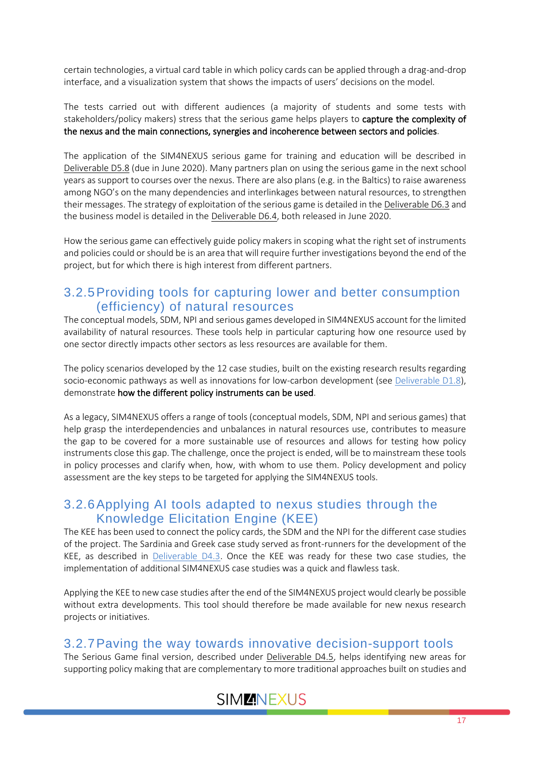certain technologies, a virtual card table in which policy cards can be applied through a drag-and-drop interface, and a visualization system that shows the impacts of users' decisions on the model.

The tests carried out with different audiences (a majority of students and some tests with stakeholders/policy makers) stress that the serious game helps players to capture the complexity of the nexus and the main connections, synergies and incoherence between sectors and policies.

The application of the SIM4NEXUS serious game for training and education will be described in Deliverable D5.8 (due in June 2020). Many partners plan on using the serious game in the next school years as support to courses over the nexus. There are also plans (e.g. in the Baltics) to raise awareness among NGO's on the many dependencies and interlinkages between natural resources, to strengthen their messages. The strategy of exploitation of the serious game is detailed in the Deliverable D6.3 and the business model is detailed in the Deliverable D6.4, both released in June 2020.

How the serious game can effectively guide policy makers in scoping what the right set of instruments and policies could or should be is an area that will require further investigations beyond the end of the project, but for which there is high interest from different partners.

### <span id="page-16-0"></span>3.2.5Providing tools for capturing lower and better consumption (efficiency) of natural resources

The conceptual models, SDM, NPI and serious games developed in SIM4NEXUS account for the limited availability of natural resources. These tools help in particular capturing how one resource used by one sector directly impacts other sectors as less resources are available for them.

The policy scenarios developed by the 12 case studies, built on the existing research results regarding socio-economic pathways as well as innovations for low-carbon development (see [Deliverable D1.8\)](https://www.sim4nexus.eu/userfiles/Deliverables/Deliverable_D1.8%20-%20resubmission.pdf), demonstrate how the different policy instruments can be used.

As a legacy, SIM4NEXUS offers a range of tools (conceptual models, SDM, NPI and serious games) that help grasp the interdependencies and unbalances in natural resources use, contributes to measure the gap to be covered for a more sustainable use of resources and allows for testing how policy instruments close this gap. The challenge, once the project is ended, will be to mainstream these tools in policy processes and clarify when, how, with whom to use them. Policy development and policy assessment are the key steps to be targeted for applying the SIM4NEXUS tools.

### <span id="page-16-1"></span>3.2.6Applying AI tools adapted to nexus studies through the Knowledge Elicitation Engine (KEE)

The KEE has been used to connect the policy cards, the SDM and the NPI for the different case studies of the project. The Sardinia and Greek case study served as front-runners for the development of the KEE, as described in [Deliverable D4.3.](https://www.sim4nexus.eu/userfiles/Deliverables/Deliverable%20D4.3.pdf) Once the KEE was ready for these two case studies, the implementation of additional SIM4NEXUS case studies was a quick and flawless task.

Applying the KEE to new case studies after the end of the SIM4NEXUS project would clearly be possible without extra developments. This tool should therefore be made available for new nexus research projects or initiatives.

### <span id="page-16-2"></span>3.2.7Paving the way towards innovative decision-support tools

The Serious Game final version, described under Deliverable D4.5, helps identifying new areas for supporting policy making that are complementary to more traditional approaches built on studies and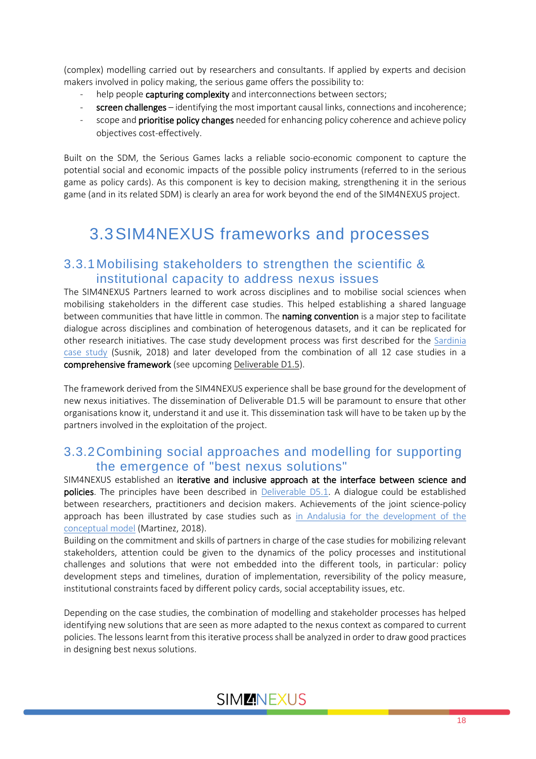(complex) modelling carried out by researchers and consultants. If applied by experts and decision makers involved in policy making, the serious game offers the possibility to:

- help people capturing complexity and interconnections between sectors;
- screen challenges identifying the most important causal links, connections and incoherence;
- scope and **prioritise policy changes** needed for enhancing policy coherence and achieve policy objectives cost-effectively.

Built on the SDM, the Serious Games lacks a reliable socio-economic component to capture the potential social and economic impacts of the possible policy instruments (referred to in the serious game as policy cards). As this component is key to decision making, strengthening it in the serious game (and in its related SDM) is clearly an area for work beyond the end of the SIM4NEXUS project.

# <span id="page-17-0"></span>3.3SIM4NEXUS frameworks and processes

#### <span id="page-17-1"></span>3.3.1Mobilising stakeholders to strengthen the scientific & institutional capacity to address nexus issues

The SIM4NEXUS Partners learned to work across disciplines and to mobilise social sciences when mobilising stakeholders in the different case studies. This helped establishing a shared language between communities that have little in common. The **naming convention** is a major step to facilitate dialogue across disciplines and combination of heterogenous datasets, and it can be replicated for other research initiatives. The case study development process was first described for the [Sardinia](https://www.sim4nexus.eu/userfiles/Deliverables/2017.12.17_Susnik_water-10-00139-v2-oa.pdf)  [case study](https://www.sim4nexus.eu/userfiles/Deliverables/2017.12.17_Susnik_water-10-00139-v2-oa.pdf) (Susnik, 2018) and later developed from the combination of all 12 case studies in a comprehensive framework (see upcoming Deliverable D1.5).

The framework derived from the SIM4NEXUS experience shall be base ground for the development of new nexus initiatives. The dissemination of Deliverable D1.5 will be paramount to ensure that other organisations know it, understand it and use it. This dissemination task will have to be taken up by the partners involved in the exploitation of the project.

### <span id="page-17-2"></span>3.3.2Combining social approaches and modelling for supporting the emergence of "best nexus solutions"

SIM4NEXUS established an iterative and inclusive approach at the interface between science and policies. The principles have been described in [Deliverable D5.1.](https://www.sim4nexus.eu/userfiles/Deliverable%20D5.1.pdf) A dialogue could be established between researchers, practitioners and decision makers. Achievements of the joint science-policy approach has been illustrated by case studies such as [in Andalusia for the development of the](https://www.sim4nexus.eu/userfiles/Deliverables/2018.05.18_Martinez_water-10-00664-v2-OA.pdf)  [conceptual model](https://www.sim4nexus.eu/userfiles/Deliverables/2018.05.18_Martinez_water-10-00664-v2-OA.pdf) (Martinez, 2018).

Building on the commitment and skills of partners in charge of the case studies for mobilizing relevant stakeholders, attention could be given to the dynamics of the policy processes and institutional challenges and solutions that were not embedded into the different tools, in particular: policy development steps and timelines, duration of implementation, reversibility of the policy measure, institutional constraints faced by different policy cards, social acceptability issues, etc.

Depending on the case studies, the combination of modelling and stakeholder processes has helped identifying new solutions that are seen as more adapted to the nexus context as compared to current policies. The lessons learnt from this iterative process shall be analyzed in order to draw good practices in designing best nexus solutions.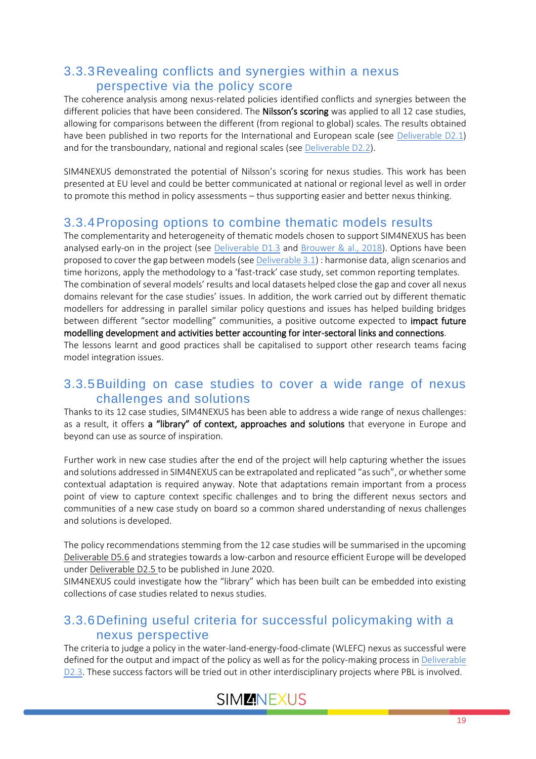### <span id="page-18-0"></span>3.3.3Revealing conflicts and synergies within a nexus perspective via the policy score

The coherence analysis among nexus-related policies identified conflicts and synergies between the different policies that have been considered. The **Nilsson's scoring** was applied to all 12 case studies, allowing for comparisons between the different (from regional to global) scales. The results obtained have been published in two reports for the International and European scale (see [Deliverable D2.1\)](https://www.sim4nexus.eu/userfiles/Deliverables/Deliverable_D2.1%20resubmission%20after%20review%20with%20annex%201.pdf) and for the transboundary, national and regional scales (see [Deliverable D2.2\)](https://www.sim4nexus.eu/userfiles/Deliverables/Deliverable%202.2_Policy%20analysis%20case%20studies_final-report_2019.02.18.pdf).

SIM4NEXUS demonstrated the potential of Nilsson's scoring for nexus studies. This work has been presented at EU level and could be better communicated at national or regional level as well in order to promote this method in policy assessments – thus supporting easier and better nexus thinking.

### <span id="page-18-1"></span>3.3.4Proposing options to combine thematic models results

The complementarity and heterogeneity of thematic models chosen to support SIM4NEXUS has been analysed early-on in the project (see [Deliverable D1.3](https://www.sim4nexus.eu/userfiles/Deliverables/Deliverable%20D1.3.pdf) and [Brouwer & al., 2018\)](https://www.sim4nexus.eu/userfiles/Deliverables/publication1.pdf). Options have been proposed to cover the gap between models (se[e Deliverable 3.1\)](https://www.sim4nexus.eu/userfiles/Deliverables/Deliverable_D3.1%20resubmission%20after%20review.pdf) : harmonise data, align scenarios and time horizons, apply the methodology to a 'fast-track' case study, set common reporting templates. The combination of several models' results and local datasets helped close the gap and cover all nexus domains relevant for the case studies' issues. In addition, the work carried out by different thematic modellers for addressing in parallel similar policy questions and issues has helped building bridges between different "sector modelling" communities, a positive outcome expected to impact future modelling development and activities better accounting for inter-sectoral links and connections. The lessons learnt and good practices shall be capitalised to support other research teams facing model integration issues.

### <span id="page-18-2"></span>3.3.5Building on case studies to cover a wide range of nexus challenges and solutions

Thanks to its 12 case studies, SIM4NEXUS has been able to address a wide range of nexus challenges: as a result, it offers a "library" of context, approaches and solutions that everyone in Europe and beyond can use as source of inspiration.

Further work in new case studies after the end of the project will help capturing whether the issues and solutions addressed in SIM4NEXUS can be extrapolated and replicated "as such", or whether some contextual adaptation is required anyway. Note that adaptations remain important from a process point of view to capture context specific challenges and to bring the different nexus sectors and communities of a new case study on board so a common shared understanding of nexus challenges and solutions is developed.

The policy recommendations stemming from the 12 case studies will be summarised in the upcoming Deliverable D5.6 and strategies towards a low-carbon and resource efficient Europe will be developed under Deliverable D2.5 to be published in June 2020.

SIM4NEXUS could investigate how the "library" which has been built can be embedded into existing collections of case studies related to nexus studies.

### <span id="page-18-3"></span>3.3.6Defining useful criteria for successful policymaking with a nexus perspective

The criteria to judge a policy in the water-land-energy-food-climate (WLEFC) nexus as successful were defined for the output and impact of the policy as well as for the policy-making process i[n Deliverable](https://www.sim4nexus.eu/userfiles/Deliverables/Deliverable_D2.3%20resubmission.pdf)  [D2.3.](https://www.sim4nexus.eu/userfiles/Deliverables/Deliverable_D2.3%20resubmission.pdf) These success factors will be tried out in other interdisciplinary projects where PBL is involved.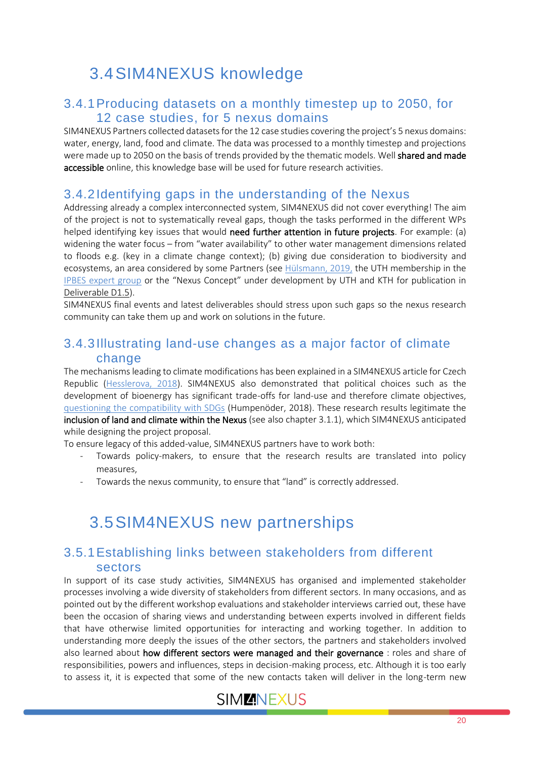# <span id="page-19-0"></span>3.4SIM4NEXUS knowledge

### <span id="page-19-1"></span>3.4.1Producing datasets on a monthly timestep up to 2050, for 12 case studies, for 5 nexus domains

SIM4NEXUS Partners collected datasets for the 12 case studies covering the project's 5 nexus domains: water, energy, land, food and climate. The data was processed to a monthly timestep and projections were made up to 2050 on the basis of trends provided by the thematic models. Well shared and made accessible online, this knowledge base will be used for future research activities.

### <span id="page-19-2"></span>3.4.2Identifying gaps in the understanding of the Nexus

Addressing already a complex interconnected system, SIM4NEXUS did not cover everything! The aim of the project is not to systematically reveal gaps, though the tasks performed in the different WPs helped identifying key issues that would need further attention in future projects. For example: (a) widening the water focus – from "water availability" to other water management dimensions related to floods e.g. (key in a climate change context); (b) giving due consideration to biodiversity and ecosystems, an area considered by some Partners (see [Hülsmann, 2019,](https://www.sim4nexus.eu/userfiles/Deliverables/Article_Janez.pdf) the UTH membership in the [IPBES expert group](https://ipbes.net/users/chrysi-laspidou) or the "Nexus Concept" under development by UTH and KTH for publication in Deliverable D1.5).

SIM4NEXUS final events and latest deliverables should stress upon such gaps so the nexus research community can take them up and work on solutions in the future.

#### <span id="page-19-3"></span>3.4.3Illustrating land-use changes as a major factor of climate change

The mechanisms leading to climate modifications has been explained in a SIM4NEXUS article for Czech Republic [\(Hesslerova, 2018\)](https://www.sim4nexus.eu/userfiles/Deliverables/00572%20Hesslerova%20et%20al.pdf). SIM4NEXUS also demonstrated that political choices such as the development of bioenergy has significant trade-offs for land-use and therefore climate objectives, [questioning the compatibility with SDGs](https://www.sim4nexus.eu/userfiles/Deliverables/2017.04.04_Humpenoder_ERL-OA.pdf) (Humpenöder, 2018). These research results legitimate the inclusion of land and climate within the Nexus (see also chapte[r 3.1.1\)](#page-13-2), which SIM4NEXUS anticipated while designing the project proposal.

To ensure legacy of this added-value, SIM4NEXUS partners have to work both:

- Towards policy-makers, to ensure that the research results are translated into policy measures,
- Towards the nexus community, to ensure that "land" is correctly addressed.

## <span id="page-19-4"></span>3.5SIM4NEXUS new partnerships

### <span id="page-19-5"></span>3.5.1Establishing links between stakeholders from different sectors

In support of its case study activities, SIM4NEXUS has organised and implemented stakeholder processes involving a wide diversity of stakeholders from different sectors. In many occasions, and as pointed out by the different workshop evaluations and stakeholder interviews carried out, these have been the occasion of sharing views and understanding between experts involved in different fields that have otherwise limited opportunities for interacting and working together. In addition to understanding more deeply the issues of the other sectors, the partners and stakeholders involved also learned about how different sectors were managed and their governance : roles and share of responsibilities, powers and influences, steps in decision-making process, etc. Although it is too early to assess it, it is expected that some of the new contacts taken will deliver in the long-term new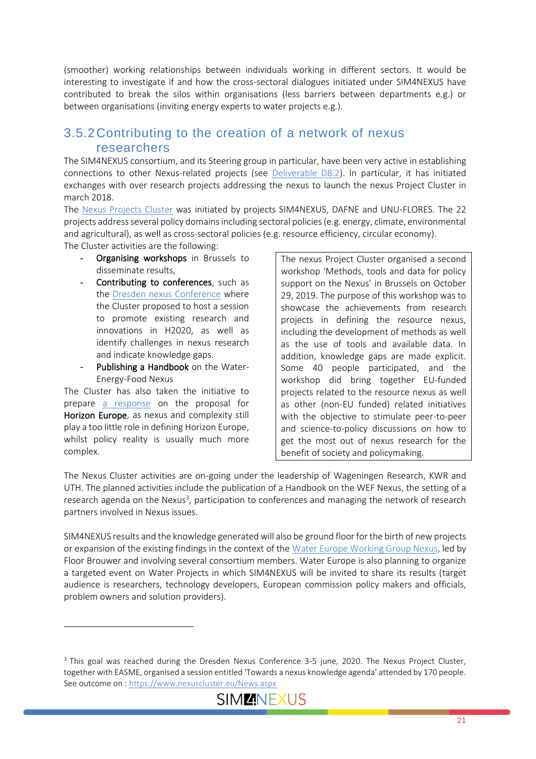(smoother) working relationships between individuals working in different sectors. It would be interesting to investigate if and how the cross-sectoral dialogues initiated under SIM4NEXUS have contributed to break the silos within organisations (less barriers between departments e.g.) or between organisations (inviting energy experts to water projects e.g.).

### <span id="page-20-0"></span>3.5.2Contributing to the creation of a network of nexus researchers

The SIM4NEXUS consortium, and its Steering group in particular, have been very active in establishing connections to other Nexus-related projects (see [Deliverable D8.2\)](https://www.sim4nexus.eu/userfiles/Deliverables/Deliverable_8.2%20resubmission%20after%20review.pdf). In particular, it has initiated exchanges with over research projects addressing the nexus to launch the nexus Project Cluster in march 2018.

The [Nexus Projects Cluster](https://www.nexuscluster.eu/) was initiated by projects SIM4NEXUS, DAFNE and UNU-FLORES. The 22 projects address several policy domains including sectoral policies (e.g. energy, climate, environmental and agricultural), as well as cross-sectoral policies (e.g. resource efficiency, circular economy).

The Cluster activities are the following:

- Organising workshops in Brussels to disseminate results,
- Contributing to conferences, such as the Dresden [nexus Conference](http://dresden-nexus-conference.org/) where the Cluster proposed to host a session to promote existing research and innovations in H2020, as well as identify challenges in nexus research and indicate knowledge gaps.
- Publishing a Handbook on the Water-Energy-Food Nexus

The Cluster has also taken the initiative to prepare [a response](https://www.sim4nexus.eu/userfiles/Deliverables/Response%20to%20Horizon%20Europe.pdf) on the proposal for Horizon Europe, as nexus and complexity still play a too little role in defining Horizon Europe, whilst policy reality is usually much more complex.

The nexus Project Cluster organised a second workshop 'Methods, tools and data for policy support on the Nexus' in Brussels on October 29, 2019. The purpose of this workshop was to showcase the achievements from research projects in defining the resource nexus, including the development of methods as well as the use of tools and available data. In addition, knowledge gaps are made explicit. Some 40 people participated, and the workshop did bring together EU-funded projects related to the resource nexus as well as other (non-EU funded) related initiatives with the objective to stimulate peer-to-peer and science-to-policy discussions on how to get the most out of nexus research for the benefit of society and policymaking.

The Nexus Cluster activities are on-going under the leadership of Wageningen Research, KWR and UTH. The planned activities include the publication of a Handbook on the WEF Nexus, the setting of a research agenda on the Nexus<sup>3</sup>, participation to conferences and managing the network of research partners involved in Nexus issues.

SIM4NEXUS results and the knowledge generated will also be ground floor for the birth of new projects or expansion of the existing findings in the context of the [Water Europe Working Group Nexus,](https://watereurope.eu/working-groups/#WATER-FOOD-ENERGY-ECOSYSTEM-SERVICES-NEXUS) led by Floor Brouwer and involving several consortium members. Water Europe is also planning to organize a targeted event on Water Projects in which SIM4NEXUS will be invited to share its results (target audience is researchers, technology developers, European commission policy makers and officials, problem owners and solution providers).

<sup>&</sup>lt;sup>3</sup> This goal was reached during the Dresden Nexus Conference 3-5 june, 2020. The Nexus Project Cluster, together with EASME, organised a session entitled 'Towards a nexus knowledge agenda' attended by 170 people. See outcome on [: https://www.nexuscluster.eu/News.aspx](https://www.nexuscluster.eu/News.aspx)

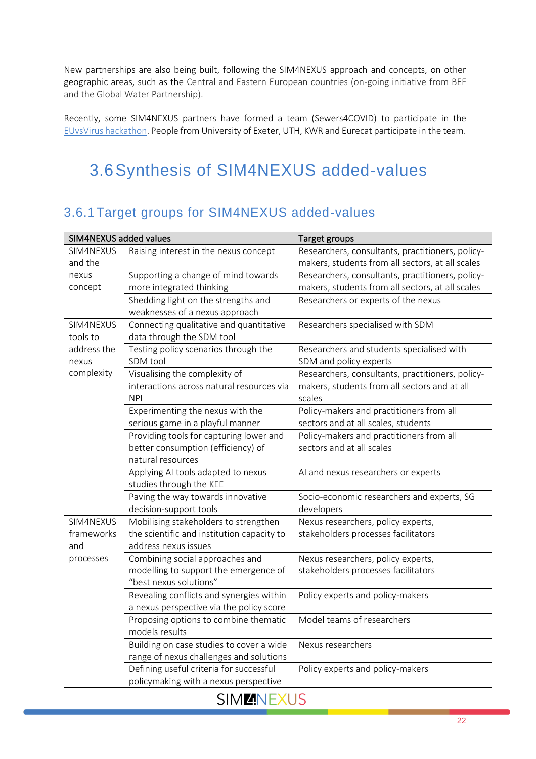New partnerships are also being built, following the SIM4NEXUS approach and concepts, on other geographic areas, such as the Central and Eastern European countries (on-going initiative from BEF and the Global Water Partnership).

Recently, some SIM4NEXUS partners have formed a team (Sewers4COVID) to participate in the [EUvsVirus hackathon.](https://euvsvirus.org/) People from University of Exeter, UTH, KWR and Eurecat participate in the team.

# <span id="page-21-0"></span>3.6Synthesis of SIM4NEXUS added-values

### <span id="page-21-1"></span>3.6.1Target groups for SIM4NEXUS added-values

| SIM4NEXUS added values |                                            | Target groups                                    |
|------------------------|--------------------------------------------|--------------------------------------------------|
| SIM4NEXUS              | Raising interest in the nexus concept      | Researchers, consultants, practitioners, policy- |
| and the                |                                            | makers, students from all sectors, at all scales |
| nexus                  | Supporting a change of mind towards        | Researchers, consultants, practitioners, policy- |
| concept                | more integrated thinking                   | makers, students from all sectors, at all scales |
|                        | Shedding light on the strengths and        | Researchers or experts of the nexus              |
|                        | weaknesses of a nexus approach             |                                                  |
| SIM4NEXUS              | Connecting qualitative and quantitative    | Researchers specialised with SDM                 |
| tools to               | data through the SDM tool                  |                                                  |
| address the            | Testing policy scenarios through the       | Researchers and students specialised with        |
| nexus                  | SDM tool                                   | SDM and policy experts                           |
| complexity             | Visualising the complexity of              | Researchers, consultants, practitioners, policy- |
|                        | interactions across natural resources via  | makers, students from all sectors and at all     |
|                        | <b>NPI</b>                                 | scales                                           |
|                        | Experimenting the nexus with the           | Policy-makers and practitioners from all         |
|                        | serious game in a playful manner           | sectors and at all scales, students              |
|                        | Providing tools for capturing lower and    | Policy-makers and practitioners from all         |
|                        | better consumption (efficiency) of         | sectors and at all scales                        |
|                        | natural resources                          |                                                  |
|                        | Applying AI tools adapted to nexus         | AI and nexus researchers or experts              |
|                        | studies through the KEE                    |                                                  |
|                        | Paving the way towards innovative          | Socio-economic researchers and experts, SG       |
|                        | decision-support tools                     | developers                                       |
| SIM4NEXUS              | Mobilising stakeholders to strengthen      | Nexus researchers, policy experts,               |
| frameworks             | the scientific and institution capacity to | stakeholders processes facilitators              |
| and                    | address nexus issues                       |                                                  |
| processes              | Combining social approaches and            | Nexus researchers, policy experts,               |
|                        | modelling to support the emergence of      | stakeholders processes facilitators              |
|                        | "best nexus solutions"                     |                                                  |
|                        | Revealing conflicts and synergies within   | Policy experts and policy-makers                 |
|                        | a nexus perspective via the policy score   |                                                  |
|                        | Proposing options to combine thematic      | Model teams of researchers                       |
|                        | models results                             |                                                  |
|                        | Building on case studies to cover a wide   | Nexus researchers                                |
|                        | range of nexus challenges and solutions    |                                                  |
|                        | Defining useful criteria for successful    | Policy experts and policy-makers                 |
|                        | policymaking with a nexus perspective      |                                                  |

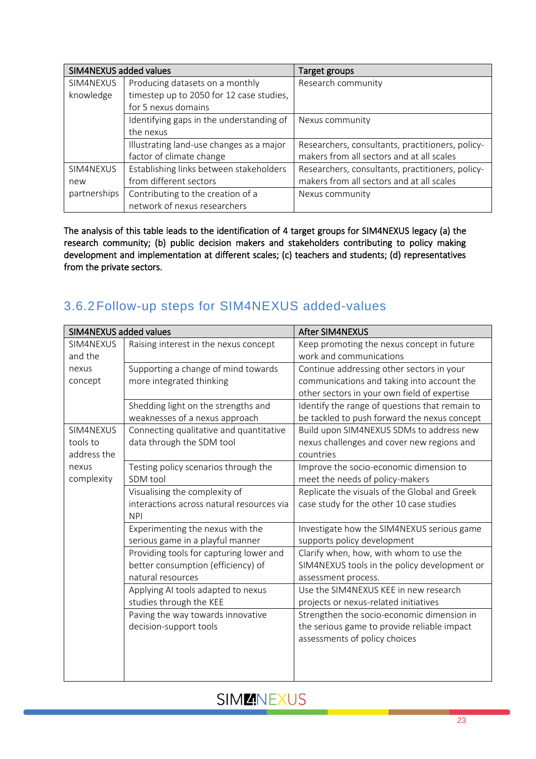| SIM4NEXUS added values |                                          | Target groups                                    |
|------------------------|------------------------------------------|--------------------------------------------------|
| SIM4NEXUS              | Producing datasets on a monthly          | Research community                               |
| knowledge              | timestep up to 2050 for 12 case studies, |                                                  |
|                        | for 5 nexus domains                      |                                                  |
|                        | Identifying gaps in the understanding of | Nexus community                                  |
|                        | the nexus                                |                                                  |
|                        | Illustrating land-use changes as a major | Researchers, consultants, practitioners, policy- |
|                        | factor of climate change                 | makers from all sectors and at all scales        |
| SIM4NEXUS              | Establishing links between stakeholders  | Researchers, consultants, practitioners, policy- |
| new                    | from different sectors                   | makers from all sectors and at all scales        |
| partnerships           | Contributing to the creation of a        | Nexus community                                  |
|                        | network of nexus researchers             |                                                  |

The analysis of this table leads to the identification of 4 target groups for SIM4NEXUS legacy (a) the research community; (b) public decision makers and stakeholders contributing to policy making development and implementation at different scales; (c) teachers and students; (d) representatives from the private sectors.

### <span id="page-22-0"></span>3.6.2Follow-up steps for SIM4NEXUS added-values

| SIM4NEXUS added values |                                           | <b>After SIM4NEXUS</b>                         |
|------------------------|-------------------------------------------|------------------------------------------------|
| SIM4NEXUS              | Raising interest in the nexus concept     | Keep promoting the nexus concept in future     |
| and the                |                                           | work and communications                        |
| nexus                  | Supporting a change of mind towards       | Continue addressing other sectors in your      |
| concept                | more integrated thinking                  | communications and taking into account the     |
|                        |                                           | other sectors in your own field of expertise   |
|                        | Shedding light on the strengths and       | Identify the range of questions that remain to |
|                        | weaknesses of a nexus approach            | be tackled to push forward the nexus concept   |
| SIM4NEXUS              | Connecting qualitative and quantitative   | Build upon SIM4NEXUS SDMs to address new       |
| tools to               | data through the SDM tool                 | nexus challenges and cover new regions and     |
| address the            |                                           | countries                                      |
| nexus                  | Testing policy scenarios through the      | Improve the socio-economic dimension to        |
| complexity             | SDM tool                                  | meet the needs of policy-makers                |
|                        | Visualising the complexity of             | Replicate the visuals of the Global and Greek  |
|                        | interactions across natural resources via | case study for the other 10 case studies       |
|                        | <b>NPI</b>                                |                                                |
|                        | Experimenting the nexus with the          | Investigate how the SIM4NEXUS serious game     |
|                        | serious game in a playful manner          | supports policy development                    |
|                        | Providing tools for capturing lower and   | Clarify when, how, with whom to use the        |
|                        | better consumption (efficiency) of        | SIM4NEXUS tools in the policy development or   |
|                        | natural resources                         | assessment process.                            |
|                        | Applying AI tools adapted to nexus        | Use the SIM4NEXUS KEE in new research          |
|                        | studies through the KEE                   | projects or nexus-related initiatives          |
|                        | Paving the way towards innovative         | Strengthen the socio-economic dimension in     |
|                        | decision-support tools                    | the serious game to provide reliable impact    |
|                        |                                           | assessments of policy choices                  |
|                        |                                           |                                                |
|                        |                                           |                                                |
|                        |                                           |                                                |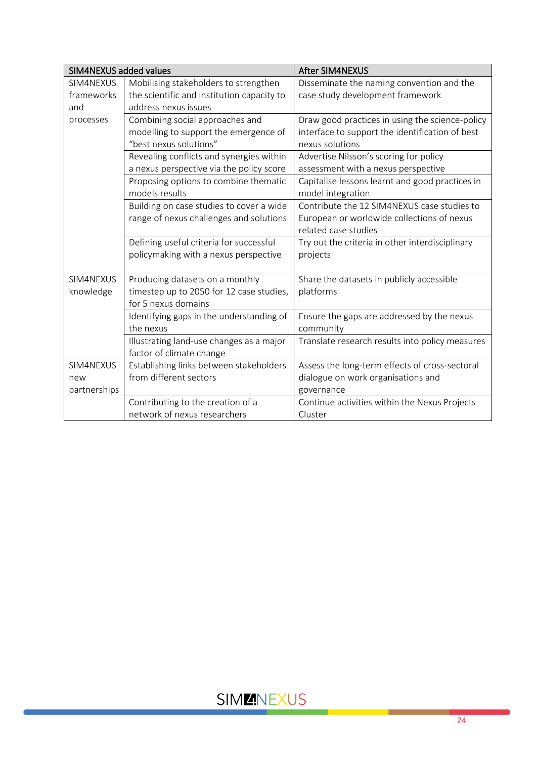| SIM4NEXUS added values |                                            | <b>After SIM4NEXUS</b>                          |
|------------------------|--------------------------------------------|-------------------------------------------------|
| SIM4NEXUS              | Mobilising stakeholders to strengthen      | Disseminate the naming convention and the       |
| frameworks             | the scientific and institution capacity to | case study development framework                |
| and                    | address nexus issues                       |                                                 |
| processes              | Combining social approaches and            | Draw good practices in using the science-policy |
|                        | modelling to support the emergence of      | interface to support the identification of best |
|                        | "best nexus solutions"                     | nexus solutions                                 |
|                        | Revealing conflicts and synergies within   | Advertise Nilsson's scoring for policy          |
|                        | a nexus perspective via the policy score   | assessment with a nexus perspective             |
|                        | Proposing options to combine thematic      | Capitalise lessons learnt and good practices in |
|                        | models results                             | model integration                               |
|                        | Building on case studies to cover a wide   | Contribute the 12 SIM4NEXUS case studies to     |
|                        | range of nexus challenges and solutions    | European or worldwide collections of nexus      |
|                        |                                            | related case studies                            |
|                        | Defining useful criteria for successful    | Try out the criteria in other interdisciplinary |
|                        | policymaking with a nexus perspective      | projects                                        |
|                        |                                            |                                                 |
| SIM4NEXUS              | Producing datasets on a monthly            | Share the datasets in publicly accessible       |
| knowledge              | timestep up to 2050 for 12 case studies,   | platforms                                       |
|                        | for 5 nexus domains                        |                                                 |
|                        | Identifying gaps in the understanding of   | Ensure the gaps are addressed by the nexus      |
|                        | the nexus                                  | community                                       |
|                        | Illustrating land-use changes as a major   | Translate research results into policy measures |
|                        | factor of climate change                   |                                                 |
| SIM4NEXUS              | Establishing links between stakeholders    | Assess the long-term effects of cross-sectoral  |
| new                    | from different sectors                     | dialogue on work organisations and              |
| partnerships           |                                            | governance                                      |
|                        | Contributing to the creation of a          | Continue activities within the Nexus Projects   |
|                        | network of nexus researchers               | Cluster                                         |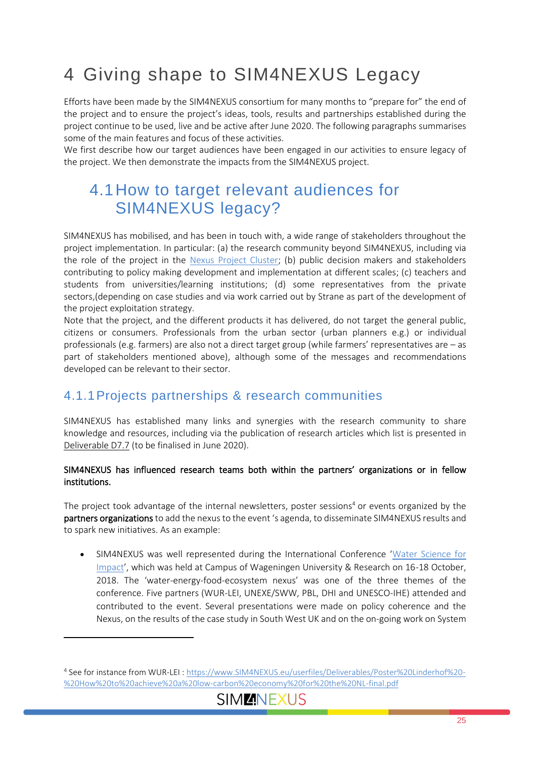# <span id="page-24-0"></span>4 Giving shape to SIM4NEXUS Legacy

Efforts have been made by the SIM4NEXUS consortium for many months to "prepare for" the end of the project and to ensure the project's ideas, tools, results and partnerships established during the project continue to be used, live and be active after June 2020. The following paragraphs summarises some of the main features and focus of these activities.

We first describe how our target audiences have been engaged in our activities to ensure legacy of the project. We then demonstrate the impacts from the SIM4NEXUS project.

## <span id="page-24-1"></span>4.1How to target relevant audiences for SIM4NEXUS legacy?

SIM4NEXUS has mobilised, and has been in touch with, a wide range of stakeholders throughout the project implementation. In particular: (a) the research community beyond SIM4NEXUS, including via the role of the project in the Nexus [Project Cluster;](http://www.nexuscluster.eu/) (b) public decision makers and stakeholders contributing to policy making development and implementation at different scales; (c) teachers and students from universities/learning institutions; (d) some representatives from the private sectors,(depending on case studies and via work carried out by Strane as part of the development of the project exploitation strategy.

Note that the project, and the different products it has delivered, do not target the general public, citizens or consumers. Professionals from the urban sector (urban planners e.g.) or individual professionals (e.g. farmers) are also not a direct target group (while farmers' representatives are – as part of stakeholders mentioned above), although some of the messages and recommendations developed can be relevant to their sector.

### <span id="page-24-2"></span>4.1.1Projects partnerships & research communities

SIM4NEXUS has established many links and synergies with the research community to share knowledge and resources, including via the publication of research articles which list is presented in Deliverable D7.7 (to be finalised in June 2020).

#### SIM4NEXUS has influenced research teams both within the partners' organizations or in fellow institutions.

The project took advantage of the internal newsletters, poster sessions<sup>4</sup> or events organized by the partners organizations to add the nexus to the event 's agenda, to disseminate SIM4NEXUS results and to spark new initiatives. As an example:

• SIM4NEXUS was well represented during the International Conference '[Water Science for](https://www.wur.nl/en/show/International-Conference-Water-Science-for-Impact.htm)  [Impact](https://www.wur.nl/en/show/International-Conference-Water-Science-for-Impact.htm)', which was held at Campus of Wageningen University & Research on 16-18 October, 2018. The 'water-energy-food-ecosystem nexus' was one of the three themes of the conference. Five partners (WUR-LEI, UNEXE/SWW, PBL, DHI and UNESCO-IHE) attended and contributed to the event. Several presentations were made on policy coherence and the Nexus, on the results of the case study in South West UK and on the on-going work on System

<sup>4</sup> See for instance from WUR-LEI : [https://www.SIM4NEXUS.eu/userfiles/Deliverables/Poster%20Linderhof%20-](https://www.sim4nexus.eu/userfiles/Deliverables/Poster%20Linderhof%20-%20How%20to%20achieve%20a%20low-carbon%20economy%20for%20the%20NL-final.pdf) [%20How%20to%20achieve%20a%20low-carbon%20economy%20for%20the%20NL-final.pdf](https://www.sim4nexus.eu/userfiles/Deliverables/Poster%20Linderhof%20-%20How%20to%20achieve%20a%20low-carbon%20economy%20for%20the%20NL-final.pdf)

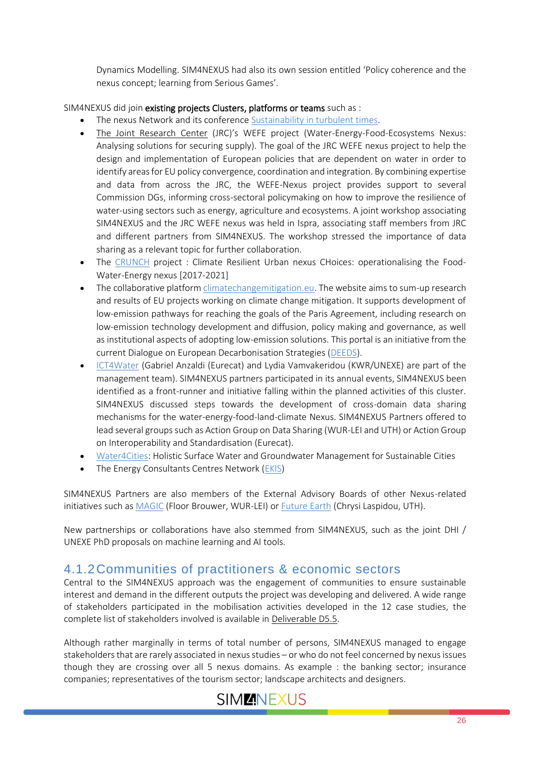Dynamics Modelling. SIM4NEXUS had also its own session entitled 'Policy coherence and the nexus concept; learning from Serious Games'.

SIM4NEXUS did join existing projects Clusters, platforms or teams such as :

- The nexus Network and its conference [Sustainability in turbulent times.](https://thenexusnetwork.org/sustainability-in-turbulent-times-conference-a-huge-success/)
- The Joint Research Center (JRC)'s WEFE project (Water-Energy-Food-Ecosystems Nexus: Analysing solutions for securing supply). The goal of the JRC WEFE nexus project to help the design and implementation of European policies that are dependent on water in order to identify areas for EU policy convergence, coordination and integration. By combining expertise and data from across the JRC, the WEFE-Nexus project provides support to several Commission DGs, informing cross-sectoral policymaking on how to improve the resilience of water-using sectors such as energy, agriculture and ecosystems. A joint workshop associating SIM4NEXUS and the JRC WEFE nexus was held in Ispra, associating staff members from JRC and different partners from SIM4NEXUS. The workshop stressed the importance of data sharing as a relevant topic for further collaboration.
- The [CRUNCH](https://www.water-energy-food.org/resources/resources-detail/project-crunch-climate-resilient-urban-nexus-choices-operationalising-the-food-water-energy-nexus/) project : Climate Resilient Urban nexus CHoices: operationalising the Food-Water-Energy nexus [2017-2021]
- The collaborative platfor[m climatechangemitigation.eu.](http://climatechangemitigation.eu/) The website aims to sum-up research and results of EU projects working on climate change mitigation. It supports development of low-emission pathways for reaching the goals of the Paris Agreement, including research on low-emission technology development and diffusion, policy making and governance, as well as institutional aspects of adopting low-emission solutions. This portal is an initiative from the current Dialogue on European Decarbonisation Strategies [\(DEEDS\)](https://deeds.eu/).
- [ICT4Water](https://www.ict4water.eu/) (Gabriel Anzaldi (Eurecat) and Lydia Vamvakeridou (KWR/UNEXE) are part of the management team). SIM4NEXUS partners participated in its annual events, SIM4NEXUS been identified as a front-runner and initiative falling within the planned activities of this cluster. SIM4NEXUS discussed steps towards the development of cross-domain data sharing mechanisms for the water-energy-food-land-climate Nexus. SIM4NEXUS Partners offered to lead several groups such as Action Group on Data Sharing (WUR-LEI and UTH) or Action Group on Interoperability and Standardisation (Eurecat).
- [Water4Cities:](http://www.water4cities.eu/) Holistic Surface Water and Groundwater Management for Sustainable Cities
- The Energy Consultants Centres Network [\(EKIS\)](https://www.iea.org/policies/1432-energy-consulting-and-information-centres-network)

SIM4NEXUS Partners are also members of the External Advisory Boards of other Nexus-related initiatives such a[s MAGIC](https://magic-nexus.eu/) (Floor Brouwer, WUR-LEI) or [Future Earth](https://futureearth.org/networks/knowledge-action-networks/water-energy-food-nexus/) (Chrysi Laspidou, UTH).

New partnerships or collaborations have also stemmed from SIM4NEXUS, such as the joint DHI / UNEXE PhD proposals on machine learning and AI tools.

#### <span id="page-25-0"></span>4.1.2Communities of practitioners & economic sectors

Central to the SIM4NEXUS approach was the engagement of communities to ensure sustainable interest and demand in the different outputs the project was developing and delivered. A wide range of stakeholders participated in the mobilisation activities developed in the 12 case studies, the complete list of stakeholders involved is available in Deliverable D5.5.

Although rather marginally in terms of total number of persons, SIM4NEXUS managed to engage stakeholders that are rarely associated in nexus studies – or who do not feel concerned by nexus issues though they are crossing over all 5 nexus domains. As example : the banking sector; insurance companies; representatives of the tourism sector; landscape architects and designers.

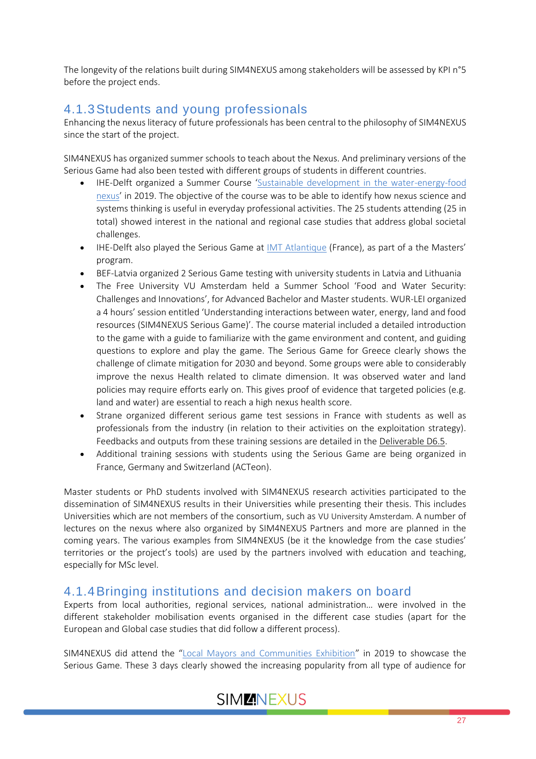The longevity of the relations built during SIM4NEXUS among stakeholders will be assessed by KPI n°5 before the project ends.

### <span id="page-26-0"></span>4.1.3Students and young professionals

Enhancing the nexus literacy of future professionals has been central to the philosophy of SIM4NEXUS since the start of the project.

SIM4NEXUS has organized summer schools to teach about the Nexus. And preliminary versions of the Serious Game had also been tested with different groups of students in different countries.

- IHE-Delft organized a Summer Course '[Sustainable development in the water-energy-food](https://www.un-ihe.org/summer-course-sustainable-development-water-energy-food-nexus)  [nexus](https://www.un-ihe.org/summer-course-sustainable-development-water-energy-food-nexus)' in 2019. The objective of the course was to be able to identify how nexus science and systems thinking is useful in everyday professional activities. The 25 students attending (25 in total) showed interest in the national and regional case studies that address global societal challenges.
- IHE-Delft also played the Serious Game at IMT [Atlantique](https://www.imt-atlantique.fr/en) (France), as part of a the Masters' program.
- BEF-Latvia organized 2 Serious Game testing with university students in Latvia and Lithuania
- The Free University VU Amsterdam held a Summer School 'Food and Water Security: Challenges and Innovations', for Advanced Bachelor and Master students. WUR-LEI organized a 4 hours' session entitled 'Understanding interactions between water, energy, land and food resources (SIM4NEXUS Serious Game)'. The course material included a detailed introduction to the game with a guide to familiarize with the game environment and content, and guiding questions to explore and play the game. The Serious Game for Greece clearly shows the challenge of climate mitigation for 2030 and beyond. Some groups were able to considerably improve the nexus Health related to climate dimension. It was observed water and land policies may require efforts early on. This gives proof of evidence that targeted policies (e.g. land and water) are essential to reach a high nexus health score.
- Strane organized different serious game test sessions in France with students as well as professionals from the industry (in relation to their activities on the exploitation strategy). Feedbacks and outputs from these training sessions are detailed in the Deliverable D6.5.
- Additional training sessions with students using the Serious Game are being organized in France, Germany and Switzerland (ACTeon).

Master students or PhD students involved with SIM4NEXUS research activities participated to the dissemination of SIM4NEXUS results in their Universities while presenting their thesis. This includes Universities which are not members of the consortium, such as VU University Amsterdam. A number of lectures on the nexus where also organized by SIM4NEXUS Partners and more are planned in the coming years. The various examples from SIM4NEXUS (be it the knowledge from the case studies' territories or the project's tools) are used by the partners involved with education and teaching, especially for MSc level.

### <span id="page-26-1"></span>4.1.4Bringing institutions and decision makers on board

Experts from local authorities, regional services, national administration… were involved in the different stakeholder mobilisation events organised in the different case studies (apart for the European and Global case studies that did follow a different process).

SIM4NEXUS did attend the "[Local Mayors and Communities Exhibition](https://www.salondesmaires.com/)" in 2019 to showcase the Serious Game. These 3 days clearly showed the increasing popularity from all type of audience for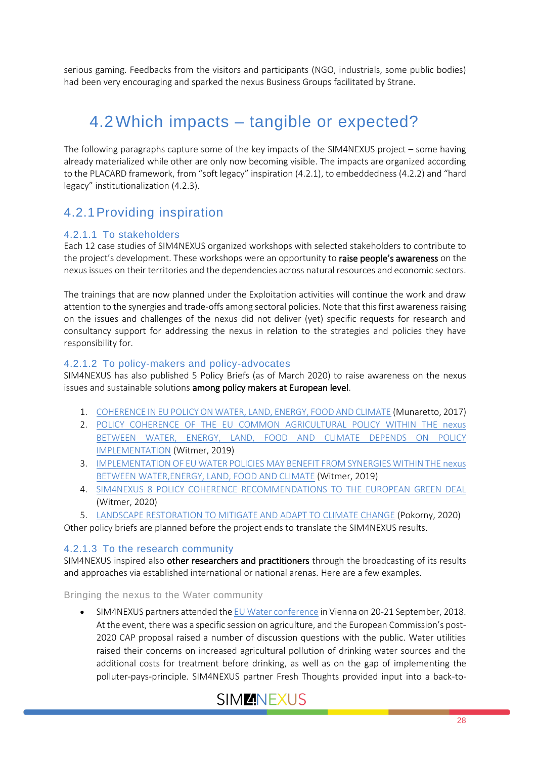serious gaming. Feedbacks from the visitors and participants (NGO, industrials, some public bodies) had been very encouraging and sparked the nexus Business Groups facilitated by Strane.

## <span id="page-27-0"></span>4.2Which impacts – tangible or expected?

The following paragraphs capture some of the key impacts of the SIM4NEXUS project – some having already materialized while other are only now becoming visible. The impacts are organized according to the PLACARD framework, from "soft legacy" inspiration (4.2.1), to embeddedness (4.2.2) and "hard legacy" institutionalization (4.2.3).

### <span id="page-27-1"></span>4.2.1Providing inspiration

#### 4.2.1.1 To stakeholders

Each 12 case studies of SIM4NEXUS organized workshops with selected stakeholders to contribute to the project's development. These workshops were an opportunity to **raise people's awareness** on the nexus issues on their territories and the dependencies across natural resources and economic sectors.

The trainings that are now planned under the Exploitation activities will continue the work and draw attention to the synergies and trade-offs among sectoral policies. Note that this first awareness raising on the issues and challenges of the nexus did not deliver (yet) specific requests for research and consultancy support for addressing the nexus in relation to the strategies and policies they have responsibility for.

#### 4.2.1.2 To policy-makers and policy-advocates

SIM4NEXUS has also published 5 Policy Briefs (as of March 2020) to raise awareness on the nexus issues and sustainable solutions among policy makers at European level.

- 1. [COHERENCE IN EU POLICY ON WATER, LAND, ENERGY, FOOD AND CLIMATE](https://www.sim4nexus.eu/userfiles/Deliverables/SIM4NEXUS%20Policy%20Brief%201_%20Final-28August2017.pdf) (Munaretto, 2017)
- 2. [POLICY COHERENCE OF THE EU COMMON AGRICULTURAL POLICY](https://www.sim4nexus.eu/userfiles/Deliverables/S4N_briefing_cap.pdf) WITHIN THE nexus [BETWEEN WATER, ENERGY, LAND, FOOD AND CLIMATE DEPENDS ON POLICY](https://www.sim4nexus.eu/userfiles/Deliverables/S4N_briefing_cap.pdf)  [IMPLEMENTATION](https://www.sim4nexus.eu/userfiles/Deliverables/S4N_briefing_cap.pdf) (Witmer, 2019)
- 3. [IMPLEMENTATION OF EU WATER POLICIES MAY BENEFIT FROM SYNERGIES WITHIN THE](https://www.sim4nexus.eu/userfiles/Deliverables/S4N_briefing_wfd.pdf) nexus [BETWEEN WATER,ENERGY, LAND, FOOD AND CLIMATE](https://www.sim4nexus.eu/userfiles/Deliverables/S4N_briefing_wfd.pdf) (Witmer, 2019)
- 4. SIM4NEXUS [8 POLICY COHERENCE RECOMMENDATIONS TO THE EUROPEAN GREEN DEAL](https://www.sim4nexus.eu/userfiles/Green_Deal_policy_brief.pdf) (Witmer, 2020)
- 5. [LANDSCAPE RESTORATION TO MITIGATE AND ADAPT TO CLIMATE CHANGE](https://www.sim4nexus.eu/userfiles/Landscape_restoration_policy_bri.pdf) (Pokorny, 2020)

Other policy briefs are planned before the project ends to translate the SIM4NEXUS results.

#### 4.2.1.3 To the research community

SIM4NEXUS inspired also other researchers and practitioners through the broadcasting of its results and approaches via established international or national arenas. Here are a few examples.

Bringing the nexus to the Water community

• SIM4NEXUS partners attended th[e EU Water conference](https://ec.europa.eu/info/events/eu-water-conference-2018_en) in Vienna on 20-21 September, 2018. At the event, there was a specific session on agriculture, and the European Commission's post-2020 CAP proposal raised a number of discussion questions with the public. Water utilities raised their concerns on increased agricultural pollution of drinking water sources and the additional costs for treatment before drinking, as well as on the gap of implementing the polluter-pays-principle. SIM4NEXUS partner Fresh Thoughts provided input into a back-to-

### SIM**ENEXUS**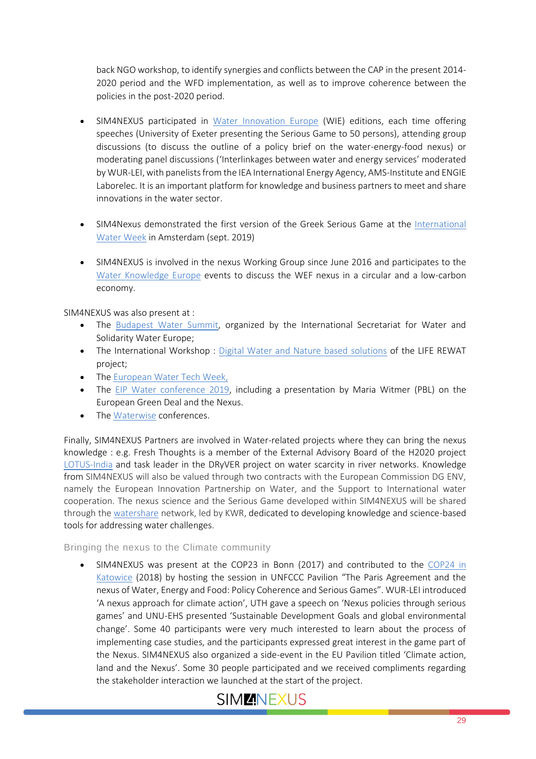back NGO workshop, to identify synergies and conflicts between the CAP in the present 2014- 2020 period and the WFD implementation, as well as to improve coherence between the policies in the post-2020 period.

- SIM4NEXUS participated in [Water Innovation Europe](https://waterinnovationeurope.eu/post-event-material-s) (WIE) editions, each time offering speeches (University of Exeter presenting the Serious Game to 50 persons), attending group discussions (to discuss the outline of a policy brief on the water-energy-food nexus) or moderating panel discussions ('Interlinkages between water and energy services' moderated by WUR-LEI, with panelists from the IEA International Energy Agency, AMS-Institute and ENGIE Laborelec. It is an important platform for knowledge and business partners to meet and share innovations in the water sector.
- SIM4Nexus demonstrated the first version of the Greek Serious Game at the [International](https://www.amsterdamiww.com/)  [Water Week](https://www.amsterdamiww.com/) in Amsterdam (sept. 2019)
- SIM4NEXUS is involved in the nexus Working Group since June 2016 and participates to the [Water Knowledge Europe](https://events.b2match.com/e/wke2019) events to discuss the WEF nexus in a circular and a low-carbon economy.

SIM4NEXUS was also present at :

- The [Budapest Water Summit,](http://www.sie-see.org/en/calendar/budapest-water-summit-2019-2/) organized by the International Secretariat for Water and Solidarity Water Europe;
- The International Workshop : [Digital Water and Nature based solutions](http://www.liferewat.eu/news/107-10-09-18-workshop-internazionale-digital-water-and-nature-based-solutions.html) of the LIFE REWAT project;
- The [European Water Tech Week,](https://wateralliance.nl/en/)
- The [EIP Water conference 2019,](https://www.eip-water.eu/eu-water-innovation-conference-2019-0) including a presentation by Maria Witmer (PBL) on the European Green Deal and the Nexus.
- The [Waterwise](https://waterwise.org.uk/conference/) conferences.

Finally, SIM4NEXUS Partners are involved in Water-related projects where they can bring the nexus knowledge : e.g. Fresh Thoughts is a member of the External Advisory Board of the H2020 project [LOTUS-India](https://www.lotus-india.eu/index.php/project/) and task leader in the DRyVER project on water scarcity in river networks. Knowledge from SIM4NEXUS will also be valued through two contracts with the European Commission DG ENV, namely the European Innovation Partnership on Water, and the Support to International water cooperation. The nexus science and the Serious Game developed within SIM4NEXUS will be shared through the [watershare](https://www.watershare.eu/) network, led by KWR, dedicated to developing knowledge and science-based tools for addressing water challenges.

#### Bringing the nexus to the Climate community

• SIM4NEXUS was present at the COP23 in Bonn (2017) and contributed to the [COP24 in](https://enb.iisd.org/climate/cop24/enbots/#event-2)  [Katowice](https://enb.iisd.org/climate/cop24/enbots/#event-2) (2018) by hosting the session in UNFCCC Pavilion "The Paris Agreement and the nexus of Water, Energy and Food: Policy Coherence and Serious Games". WUR-LEI introduced 'A nexus approach for climate action', UTH gave a speech on 'Nexus policies through serious games' and UNU-EHS presented 'Sustainable Development Goals and global environmental change'. Some 40 participants were very much interested to learn about the process of implementing case studies, and the participants expressed great interest in the game part of the Nexus. SIM4NEXUS also organized a side-event in the EU Pavilion titled 'Climate action, land and the Nexus'. Some 30 people participated and we received compliments regarding the stakeholder interaction we launched at the start of the project.

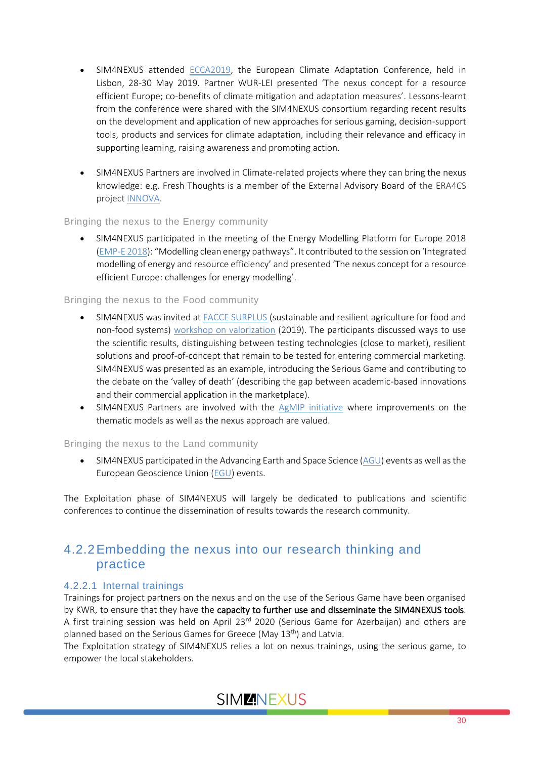- SIM4NEXUS attended [ECCA2019,](https://www.ecca2019.eu/) the European Climate Adaptation Conference, held in Lisbon, 28-30 May 2019. Partner WUR-LEI presented 'The nexus concept for a resource efficient Europe; co-benefits of climate mitigation and adaptation measures'. Lessons-learnt from the conference were shared with the SIM4NEXUS consortium regarding recent results on the development and application of new approaches for serious gaming, decision-support tools, products and services for climate adaptation, including their relevance and efficacy in supporting learning, raising awareness and promoting action.
- SIM4NEXUS Partners are involved in Climate-related projects where they can bring the nexus knowledge: e.g. Fresh Thoughts is a member of the External Advisory Board of the ERA4CS project **INNOVA**.

#### Bringing the nexus to the Energy community

• SIM4NEXUS participated in the meeting of the Energy Modelling Platform for Europe 2018 [\(EMP-E 2018\)](http://www.energymodellingplatform.eu/home-emp-e-2018.html): "Modelling clean energy pathways". It contributed to the session on 'Integrated modelling of energy and resource efficiency' and presented 'The nexus concept for a resource efficient Europe: challenges for energy modelling'.

#### Bringing the nexus to the Food community

- SIM4NEXUS was invited a[t FACCE SURPLUS](https://projects.au.dk/faccesurplus/) (sustainable and resilient agriculture for food and non-food systems) [workshop on valorization](https://projects.au.dk/faccesurplus/currently/news/nyhed/artikel/researchers-and-stakeholders-met-to-tackle-valorisation-challenges/) (2019). The participants discussed ways to use the scientific results, distinguishing between testing technologies (close to market), resilient solutions and proof-of-concept that remain to be tested for entering commercial marketing. SIM4NEXUS was presented as an example, introducing the Serious Game and contributing to the debate on the 'valley of death' (describing the gap between academic-based innovations and their commercial application in the marketplace).
- SIM4NEXUS Partners are involved with the [AgMIP initiative](https://agmip.org/) where improvements on the thematic models as well as the nexus approach are valued.

#### Bringing the nexus to the Land community

• SIM4NEXUS participated in the Advancing Earth and Space Science [\(AGU\)](https://www.agu.org/) events as well as the European Geoscience Union [\(EGU\)](https://www.egu.eu/) events.

The Exploitation phase of SIM4NEXUS will largely be dedicated to publications and scientific conferences to continue the dissemination of results towards the research community.

### <span id="page-29-0"></span>4.2.2Embedding the nexus into our research thinking and practice

#### 4.2.2.1 Internal trainings

Trainings for project partners on the nexus and on the use of the Serious Game have been organised by KWR, to ensure that they have the capacity to further use and disseminate the SIM4NEXUS tools. A first training session was held on April 23<sup>rd</sup> 2020 (Serious Game for Azerbaijan) and others are planned based on the Serious Games for Greece (May  $13<sup>th</sup>$ ) and Latvia.

The Exploitation strategy of SIM4NEXUS relies a lot on nexus trainings, using the serious game, to empower the local stakeholders.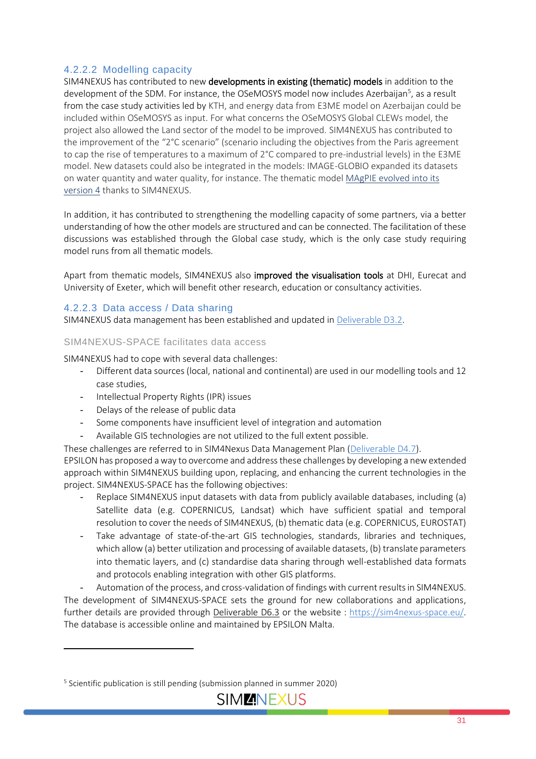#### 4.2.2.2 Modelling capacity

SIM4NEXUS has contributed to new developments in existing (thematic) models in addition to the development of the SDM. For instance, the OSeMOSYS model now includes Azerbaijan<sup>5</sup>, as a result from the case study activities led by KTH, and energy data from E3ME model on Azerbaijan could be included within OSeMOSYS as input. For what concerns the OSeMOSYS Global CLEWs model, the project also allowed the Land sector of the model to be improved. SIM4NEXUS has contributed to the improvement of the "2°C scenario" (scenario including the objectives from the Paris agreement to cap the rise of temperatures to a maximum of 2°C compared to pre-industrial levels) in the E3ME model. New datasets could also be integrated in the models: IMAGE-GLOBIO expanded its datasets on water quantity and water quality, for instance. The thematic mode[l MAgPIE evolved into its](https://www.geosci-model-dev-discuss.net/gmd-2018-295/gmd-2018-295.pdf)  [version 4](https://www.geosci-model-dev-discuss.net/gmd-2018-295/gmd-2018-295.pdf) thanks to SIM4NEXUS.

In addition, it has contributed to strengthening the modelling capacity of some partners, via a better understanding of how the other models are structured and can be connected. The facilitation of these discussions was established through the Global case study, which is the only case study requiring model runs from all thematic models.

Apart from thematic models, SIM4NEXUS also improved the visualisation tools at DHI, Eurecat and University of Exeter, which will benefit other research, education or consultancy activities.

#### 4.2.2.3 Data access / Data sharing

SIM4NEXUS data management has been established and updated i[n Deliverable D3.2.](https://www.sim4nexus.eu/userfiles/Deliverables/Deliverable_D3.2%20resubmission.pdf)

#### SIM4NEXUS-SPACE facilitates data access

SIM4NEXUS had to cope with several data challenges:

- Different data sources (local, national and continental) are used in our modelling tools and 12 case studies,
- Intellectual Property Rights (IPR) issues
- Delays of the release of public data
- Some components have insufficient level of integration and automation
- Available GIS technologies are not utilized to the full extent possible.

These challenges are referred to in SIM4Nexus Data Management Plan [\(Deliverable D4.7\)](https://www.sim4nexus.eu/userfiles/Deliverable_D4.7.pdf).

EPSILON has proposed a way to overcome and address these challenges by developing a new extended approach within SIM4NEXUS building upon, replacing, and enhancing the current technologies in the project. SIM4NEXUS-SPACE has the following objectives:

- Replace SIM4NEXUS input datasets with data from publicly available databases, including (a) Satellite data (e.g. COPERNICUS, Landsat) which have sufficient spatial and temporal resolution to cover the needs of SIM4NEXUS, (b) thematic data (e.g. COPERNICUS, EUROSTAT)
- Take advantage of state-of-the-art GIS technologies, standards, libraries and techniques, which allow (a) better utilization and processing of available datasets, (b) translate parameters into thematic layers, and (c) standardise data sharing through well-established data formats and protocols enabling integration with other GIS platforms.

- Automation of the process, and cross-validation of findings with current results in SIM4NEXUS. The development of SIM4NEXUS-SPACE sets the ground for new collaborations and applications, further details are provided through Deliverable D6.3 or the website : [https://sim4nexus-space.eu/.](https://sim4nexus-space.eu/) The database is accessible online and maintained by EPSILON Malta.

<sup>&</sup>lt;sup>5</sup> Scientific publication is still pending (submission planned in summer 2020)

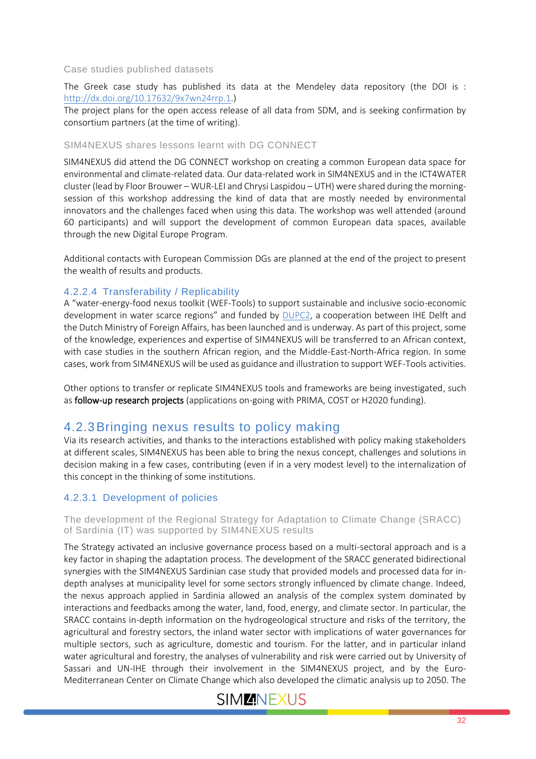#### Case studies published datasets

The Greek case study has published its data at the Mendeley data repository (the DOI is : [http://dx.doi.org/10.17632/9x7wn24rrp.1.](http://dx.doi.org/10.17632/9x7wn24rrp.1))

The project plans for the open access release of all data from SDM, and is seeking confirmation by consortium partners (at the time of writing).

#### SIM4NEXUS shares lessons learnt with DG CONNECT

SIM4NEXUS did attend the DG CONNECT workshop on creating a common European data space for environmental and climate-related data. Our data-related work in SIM4NEXUS and in the ICT4WATER cluster (lead by Floor Brouwer – WUR-LEI and Chrysi Laspidou – UTH) were shared during the morningsession of this workshop addressing the kind of data that are mostly needed by environmental innovators and the challenges faced when using this data. The workshop was well attended (around 60 participants) and will support the development of common European data spaces, available through the new Digital Europe Program.

Additional contacts with European Commission DGs are planned at the end of the project to present the wealth of results and products.

#### 4.2.2.4 Transferability / Replicability

A "water-energy-food nexus toolkit (WEF-Tools) to support sustainable and inclusive socio-economic development in water scarce regions" and funded by [DUPC2,](https://www.un-ihe.org/dupc) a cooperation between IHE Delft and the Dutch Ministry of Foreign Affairs, has been launched and is underway. As part of this project, some of the knowledge, experiences and expertise of SIM4NEXUS will be transferred to an African context, with case studies in the southern African region, and the Middle-East-North-Africa region. In some cases, work from SIM4NEXUS will be used as guidance and illustration to support WEF-Tools activities.

Other options to transfer or replicate SIM4NEXUS tools and frameworks are being investigated, such as follow-up research projects (applications on-going with PRIMA, COST or H2020 funding).

#### <span id="page-31-0"></span>4.2.3Bringing nexus results to policy making

Via its research activities, and thanks to the interactions established with policy making stakeholders at different scales, SIM4NEXUS has been able to bring the nexus concept, challenges and solutions in decision making in a few cases, contributing (even if in a very modest level) to the internalization of this concept in the thinking of some institutions.

#### 4.2.3.1 Development of policies

The development of the Regional Strategy for Adaptation to Climate Change (SRACC) of Sardinia (IT) was supported by SIM4NEXUS results

The Strategy activated an inclusive governance process based on a multi-sectoral approach and is a key factor in shaping the adaptation process. The development of the SRACC generated bidirectional synergies with the SIM4NEXUS Sardinian case study that provided models and processed data for indepth analyses at municipality level for some sectors strongly influenced by climate change. Indeed, the nexus approach applied in Sardinia allowed an analysis of the complex system dominated by interactions and feedbacks among the water, land, food, energy, and climate sector. In particular, the SRACC contains in-depth information on the hydrogeological structure and risks of the territory, the agricultural and forestry sectors, the inland water sector with implications of water governances for multiple sectors, such as agriculture, domestic and tourism. For the latter, and in particular inland water agricultural and forestry, the analyses of vulnerability and risk were carried out by University of Sassari and UN-IHE through their involvement in the SIM4NEXUS project, and by the Euro-Mediterranean Center on Climate Change which also developed the climatic analysis up to 2050. The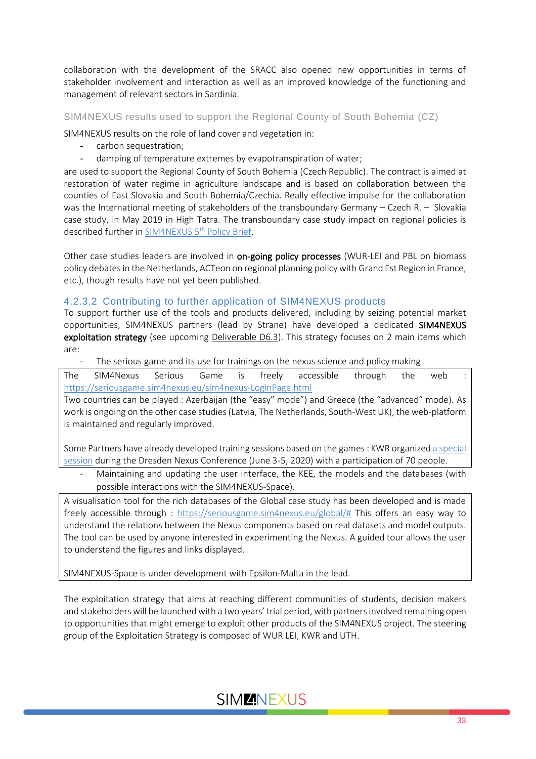collaboration with the development of the SRACC also opened new opportunities in terms of stakeholder involvement and interaction as well as an improved knowledge of the functioning and management of relevant sectors in Sardinia.

SIM4NEXUS results used to support the Regional County of South Bohemia (CZ)

SIM4NEXUS results on the role of land cover and vegetation in:

- carbon sequestration;
- damping of temperature extremes by evapotranspiration of water;

are used to support the Regional County of South Bohemia (Czech Republic). The contract is aimed at restoration of water regime in agriculture landscape and is based on collaboration between the counties of East Slovakia and South Bohemia/Czechia. Really effective impulse for the collaboration was the International meeting of stakeholders of the transboundary Germany – Czech R. – Slovakia case study, in May 2019 in High Tatra. The transboundary case study impact on regional policies is described further in <u>SIM4NEXUS 5<sup>th</sup> Policy Brief</u>.

Other case studies leaders are involved in on-going policy processes (WUR-LEI and PBL on biomass policy debates in the Netherlands, ACTeon on regional planning policy with Grand Est Region in France, etc.), though results have not yet been published.

#### 4.2.3.2 Contributing to further application of SIM4NEXUS products

To support further use of the tools and products delivered, including by seizing potential market opportunities, SIM4NEXUS partners (lead by Strane) have developed a dedicated SIM4NEXUS exploitation strategy (see upcoming Deliverable D6.3). This strategy focuses on 2 main items which are:

The serious game and its use for trainings on the nexus science and policy making

The SIM4Nexus Serious Game is freely accessible through the web : <https://seriousgame.sim4nexus.eu/sim4nexus-LoginPage.html>

Two countries can be played : Azerbaijan (the "easy" mode") and Greece (the "advanced" mode). As work is ongoing on the other case studies (Latvia, The Netherlands, South-West UK), the web-platform is maintained and regularly improved.

Some Partners have already developed training sessions based on the games : KWR organize[d a special](https://www.sim4nexus.eu/page.php?wert=News#collap298)  [session](https://www.sim4nexus.eu/page.php?wert=News#collap298) during the Dresden Nexus Conference (June 3-5, 2020) with a participation of 70 people.

Maintaining and updating the user interface, the KEE, the models and the databases (with possible interactions with the SIM4NEXUS-Space).

A visualisation tool for the rich databases of the Global case study has been developed and is made freely accessible through : [https://seriousgame.sim4nexus.eu/global/#](https://seriousgame.sim4nexus.eu/global/) This offers an easy way to understand the relations between the Nexus components based on real datasets and model outputs. The tool can be used by anyone interested in experimenting the Nexus. A guided tour allows the user to understand the figures and links displayed.

SIM4NEXUS-Space is under development with Epsilon-Malta in the lead.

The exploitation strategy that aims at reaching different communities of students, decision makers and stakeholders will be launched with a two years' trial period, with partners involved remaining open to opportunities that might emerge to exploit other products of the SIM4NEXUS project. The steering group of the Exploitation Strategy is composed of WUR LEI, KWR and UTH.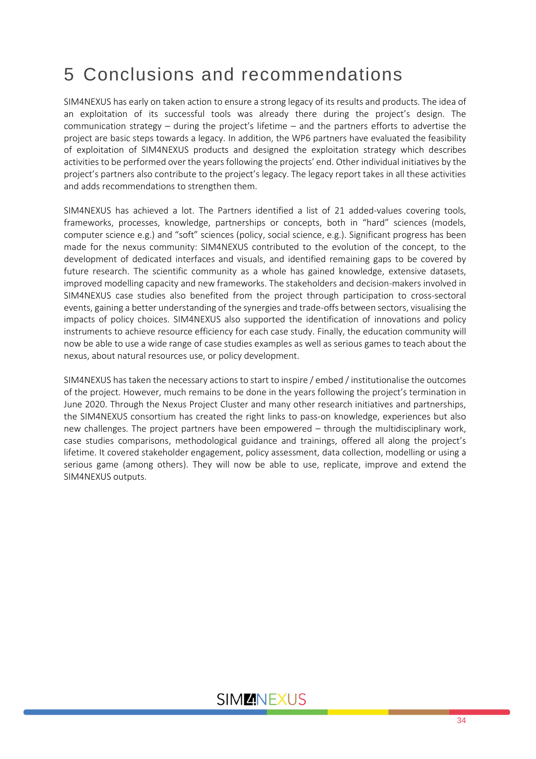# <span id="page-33-0"></span>5 Conclusions and recommendations

SIM4NEXUS has early on taken action to ensure a strong legacy of its results and products. The idea of an exploitation of its successful tools was already there during the project's design. The communication strategy – during the project's lifetime – and the partners efforts to advertise the project are basic steps towards a legacy. In addition, the WP6 partners have evaluated the feasibility of exploitation of SIM4NEXUS products and designed the exploitation strategy which describes activities to be performed over the years following the projects' end. Other individual initiatives by the project's partners also contribute to the project's legacy. The legacy report takes in all these activities and adds recommendations to strengthen them.

SIM4NEXUS has achieved a lot. The Partners identified a list of 21 added-values covering tools, frameworks, processes, knowledge, partnerships or concepts, both in "hard" sciences (models, computer science e.g.) and "soft" sciences (policy, social science, e.g.). Significant progress has been made for the nexus community: SIM4NEXUS contributed to the evolution of the concept, to the development of dedicated interfaces and visuals, and identified remaining gaps to be covered by future research. The scientific community as a whole has gained knowledge, extensive datasets, improved modelling capacity and new frameworks. The stakeholders and decision-makers involved in SIM4NEXUS case studies also benefited from the project through participation to cross-sectoral events, gaining a better understanding of the synergies and trade-offs between sectors, visualising the impacts of policy choices. SIM4NEXUS also supported the identification of innovations and policy instruments to achieve resource efficiency for each case study. Finally, the education community will now be able to use a wide range of case studies examples as well as serious games to teach about the nexus, about natural resources use, or policy development.

SIM4NEXUS has taken the necessary actions to start to inspire / embed / institutionalise the outcomes of the project. However, much remains to be done in the years following the project's termination in June 2020. Through the Nexus Project Cluster and many other research initiatives and partnerships, the SIM4NEXUS consortium has created the right links to pass-on knowledge, experiences but also new challenges. The project partners have been empowered – through the multidisciplinary work, case studies comparisons, methodological guidance and trainings, offered all along the project's lifetime. It covered stakeholder engagement, policy assessment, data collection, modelling or using a serious game (among others). They will now be able to use, replicate, improve and extend the SIM4NEXUS outputs.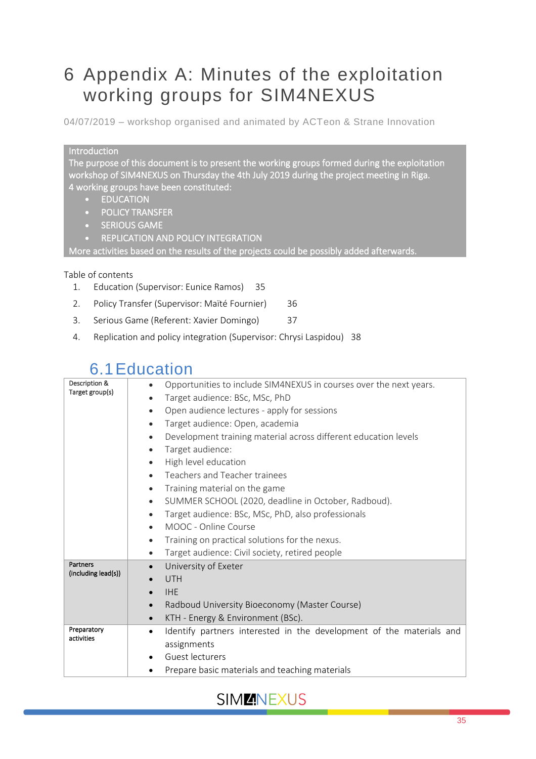# <span id="page-34-0"></span>6 Appendix A: Minutes of the exploitation working groups for SIM4NEXUS

04/07/2019 – workshop organised and animated by ACTeon & Strane Innovation

#### Introduction

The purpose of this document is to present the working groups formed during the exploitation workshop of SIM4NEXUS on Thursday the 4th July 2019 during the project meeting in Riga. 4 working groups have been constituted:

- EDUCATION
- POLICY TRANSFER
- **SERIOUS GAME**
- REPLICATION AND POLICY INTEGRATION

More activities based on the results of the projects could be possibly added afterwards.

#### Table of contents

- 1. [Education \(Supervisor: Eunice Ramos\)](file:///C:/Users/MaitéFournier/OneDrive%20-%20ACTEON/acteon/01-Projets%20en%20cours/226_EU_R_SIM4NEXUS/6.Documents/WP6/Exploitation-ideas/SIM4NEXUS%20-%20Summary%20of%20exploitation%20working%20groups_v2.docx%23_Toc18313926) 35
- 2. [Policy Transfer \(Supervisor: Maïté Fournier\)](file:///C:/Users/MaitéFournier/OneDrive%20-%20ACTEON/acteon/01-Projets%20en%20cours/226_EU_R_SIM4NEXUS/6.Documents/WP6/Exploitation-ideas/SIM4NEXUS%20-%20Summary%20of%20exploitation%20working%20groups_v2.docx%23_Toc18313927) 36
- 3. [Serious Game \(Referent: Xavier Domingo\)](file:///C:/Users/MaitéFournier/OneDrive%20-%20ACTEON/acteon/01-Projets%20en%20cours/226_EU_R_SIM4NEXUS/6.Documents/WP6/Exploitation-ideas/SIM4NEXUS%20-%20Summary%20of%20exploitation%20working%20groups_v2.docx%23_Toc18313928) 37
- 4. [Replication and policy integration \(Supervisor: Chrysi Laspidou\)](file:///C:/Users/MaitéFournier/OneDrive%20-%20ACTEON/acteon/01-Projets%20en%20cours/226_EU_R_SIM4NEXUS/6.Documents/WP6/Exploitation-ideas/SIM4NEXUS%20-%20Summary%20of%20exploitation%20working%20groups_v2.docx%23_Toc18313929) 38

# 6.1Education

| Description &       | Opportunities to include SIM4NEXUS in courses over the next years.<br>$\bullet$   |
|---------------------|-----------------------------------------------------------------------------------|
| Target group(s)     | Target audience: BSc, MSc, PhD<br>$\bullet$                                       |
|                     | Open audience lectures - apply for sessions<br>$\bullet$                          |
|                     | Target audience: Open, academia<br>$\bullet$                                      |
|                     | Development training material across different education levels<br>$\bullet$      |
|                     | Target audience:<br>$\bullet$                                                     |
|                     | High level education<br>$\bullet$                                                 |
|                     | Teachers and Teacher trainees<br>$\bullet$                                        |
|                     | Training material on the game<br>$\bullet$                                        |
|                     | SUMMER SCHOOL (2020, deadline in October, Radboud).<br>$\bullet$                  |
|                     | Target audience: BSc, MSc, PhD, also professionals<br>$\bullet$                   |
|                     | MOOC - Online Course<br>$\bullet$                                                 |
|                     | Training on practical solutions for the nexus.<br>$\bullet$                       |
|                     | Target audience: Civil society, retired people<br>$\bullet$                       |
| Partners            | University of Exeter<br>$\bullet$                                                 |
| (including lead(s)) | <b>UTH</b>                                                                        |
|                     | <b>IHE</b>                                                                        |
|                     | Radboud University Bioeconomy (Master Course)<br>$\bullet$                        |
|                     | KTH - Energy & Environment (BSc).<br>$\bullet$                                    |
| Preparatory         | Identify partners interested in the development of the materials and<br>$\bullet$ |
| activities          | assignments                                                                       |
|                     | Guest lecturers                                                                   |
|                     | Prepare basic materials and teaching materials                                    |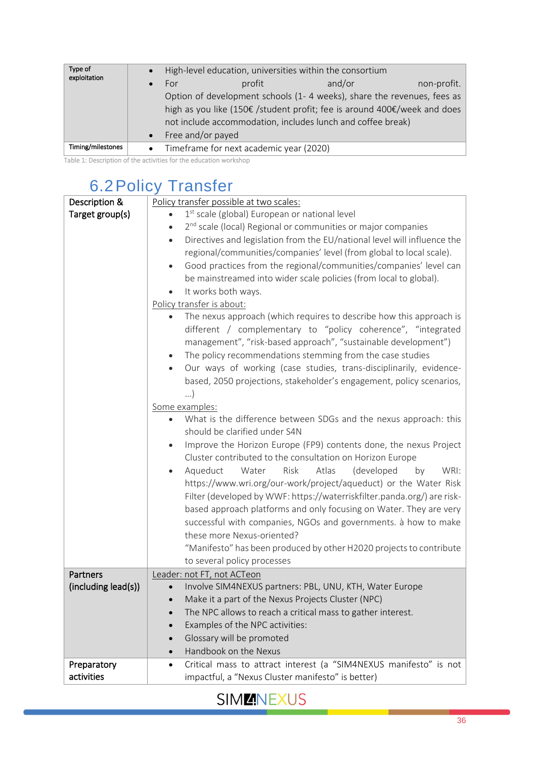| Type of<br>exploitation |                                                                          |                                         | High-level education, universities within the consortium               |             |
|-------------------------|--------------------------------------------------------------------------|-----------------------------------------|------------------------------------------------------------------------|-------------|
|                         | For                                                                      | profit                                  | and/or                                                                 | non-profit. |
|                         |                                                                          |                                         | Option of development schools (1-4 weeks), share the revenues, fees as |             |
|                         | high as you like (150€ /student profit; fee is around 400€/week and does |                                         |                                                                        |             |
|                         |                                                                          |                                         | not include accommodation, includes lunch and coffee break)            |             |
|                         | Free and/or payed                                                        |                                         |                                                                        |             |
| Timing/milestones       | $\bullet$                                                                | Timeframe for next academic year (2020) |                                                                        |             |

Table 1: Description of the activities for the education workshop

# 6.2Policy Transfer

| Description &       | Policy transfer possible at two scales:                                               |  |
|---------------------|---------------------------------------------------------------------------------------|--|
| Target group(s)     | 1 <sup>st</sup> scale (global) European or national level                             |  |
|                     | 2 <sup>nd</sup> scale (local) Regional or communities or major companies<br>$\bullet$ |  |
|                     | Directives and legislation from the EU/national level will influence the<br>$\bullet$ |  |
|                     | regional/communities/companies' level (from global to local scale).                   |  |
|                     | Good practices from the regional/communities/companies' level can<br>$\bullet$        |  |
|                     | be mainstreamed into wider scale policies (from local to global).                     |  |
|                     | It works both ways.                                                                   |  |
|                     | Policy transfer is about:                                                             |  |
|                     | The nexus approach (which requires to describe how this approach is                   |  |
|                     | different / complementary to "policy coherence", "integrated                          |  |
|                     | management", "risk-based approach", "sustainable development")                        |  |
|                     | The policy recommendations stemming from the case studies<br>$\bullet$                |  |
|                     | Our ways of working (case studies, trans-disciplinarily, evidence-<br>$\bullet$       |  |
|                     | based, 2050 projections, stakeholder's engagement, policy scenarios,                  |  |
|                     | $\ldots$                                                                              |  |
|                     |                                                                                       |  |
|                     | Some examples:<br>What is the difference between SDGs and the nexus approach: this    |  |
|                     | should be clarified under S4N                                                         |  |
|                     |                                                                                       |  |
|                     | Improve the Horizon Europe (FP9) contents done, the nexus Project<br>$\bullet$        |  |
|                     | Cluster contributed to the consultation on Horizon Europe                             |  |
|                     | Aqueduct<br>Risk<br>Atlas<br>(developed<br>WRI:<br>Water<br>by<br>$\bullet$           |  |
|                     | https://www.wri.org/our-work/project/aqueduct) or the Water Risk                      |  |
|                     | Filter (developed by WWF: https://waterriskfilter.panda.org/) are risk-               |  |
|                     | based approach platforms and only focusing on Water. They are very                    |  |
|                     | successful with companies, NGOs and governments. à how to make                        |  |
|                     | these more Nexus-oriented?                                                            |  |
|                     | "Manifesto" has been produced by other H2020 projects to contribute                   |  |
|                     | to several policy processes                                                           |  |
| <b>Partners</b>     | Leader: not FT, not ACTeon                                                            |  |
| (including lead(s)) | Involve SIM4NEXUS partners: PBL, UNU, KTH, Water Europe                               |  |
|                     | Make it a part of the Nexus Projects Cluster (NPC)                                    |  |
|                     | The NPC allows to reach a critical mass to gather interest.                           |  |
|                     | Examples of the NPC activities:                                                       |  |
|                     | Glossary will be promoted                                                             |  |
|                     | Handbook on the Nexus                                                                 |  |
| Preparatory         | Critical mass to attract interest (a "SIM4NEXUS manifesto" is not<br>$\bullet$        |  |
| activities          | impactful, a "Nexus Cluster manifesto" is better)                                     |  |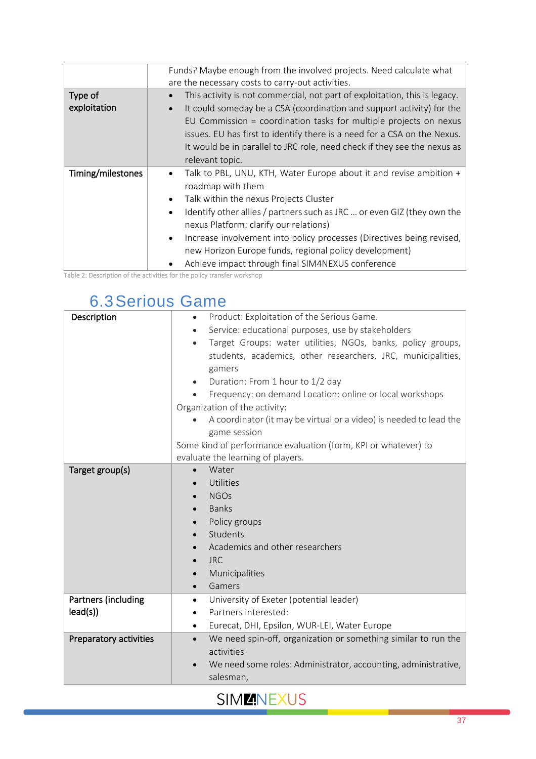|                   | Funds? Maybe enough from the involved projects. Need calculate what                  |
|-------------------|--------------------------------------------------------------------------------------|
|                   | are the necessary costs to carry-out activities.                                     |
| Type of           | This activity is not commercial, not part of exploitation, this is legacy.           |
| exploitation      | It could someday be a CSA (coordination and support activity) for the<br>$\bullet$   |
|                   | EU Commission = coordination tasks for multiple projects on nexus                    |
|                   | issues. EU has first to identify there is a need for a CSA on the Nexus.             |
|                   | It would be in parallel to JRC role, need check if they see the nexus as             |
|                   | relevant topic.                                                                      |
|                   |                                                                                      |
| Timing/milestones | Talk to PBL, UNU, KTH, Water Europe about it and revise ambition +                   |
|                   | roadmap with them                                                                    |
|                   | Talk within the nexus Projects Cluster                                               |
|                   | Identify other allies / partners such as JRC  or even GIZ (they own the<br>$\bullet$ |
|                   | nexus Platform: clarify our relations)                                               |
|                   | Increase involvement into policy processes (Directives being revised,<br>$\bullet$   |
|                   | new Horizon Europe funds, regional policy development)                               |

Table 2: Description of the activities for the policy transfer workshop

# 6.3Serious Game

| Description            | Product: Exploitation of the Serious Game.<br>$\bullet$                     |  |  |
|------------------------|-----------------------------------------------------------------------------|--|--|
|                        | Service: educational purposes, use by stakeholders                          |  |  |
|                        | Target Groups: water utilities, NGOs, banks, policy groups,<br>$\bullet$    |  |  |
|                        | students, academics, other researchers, JRC, municipalities,                |  |  |
|                        | gamers                                                                      |  |  |
|                        | Duration: From 1 hour to 1/2 day<br>$\bullet$                               |  |  |
|                        | Frequency: on demand Location: online or local workshops                    |  |  |
|                        | Organization of the activity:                                               |  |  |
|                        | A coordinator (it may be virtual or a video) is needed to lead the          |  |  |
|                        | game session                                                                |  |  |
|                        | Some kind of performance evaluation (form, KPI or whatever) to              |  |  |
|                        | evaluate the learning of players.                                           |  |  |
| Target group(s)        | Water<br>$\bullet$                                                          |  |  |
|                        | Utilities                                                                   |  |  |
|                        | <b>NGOs</b>                                                                 |  |  |
|                        | <b>Banks</b>                                                                |  |  |
|                        | Policy groups                                                               |  |  |
|                        | Students<br>$\bullet$                                                       |  |  |
|                        | Academics and other researchers                                             |  |  |
|                        | <b>JRC</b>                                                                  |  |  |
|                        | Municipalities                                                              |  |  |
|                        | Gamers<br>$\bullet$                                                         |  |  |
| Partners (including    | University of Exeter (potential leader)<br>$\bullet$                        |  |  |
| lead(s)                | Partners interested:<br>$\bullet$                                           |  |  |
|                        | Eurecat, DHI, Epsilon, WUR-LEI, Water Europe<br>$\bullet$                   |  |  |
| Preparatory activities | We need spin-off, organization or something similar to run the<br>$\bullet$ |  |  |
|                        | activities                                                                  |  |  |
|                        | We need some roles: Administrator, accounting, administrative,              |  |  |
|                        | salesman,                                                                   |  |  |
|                        |                                                                             |  |  |

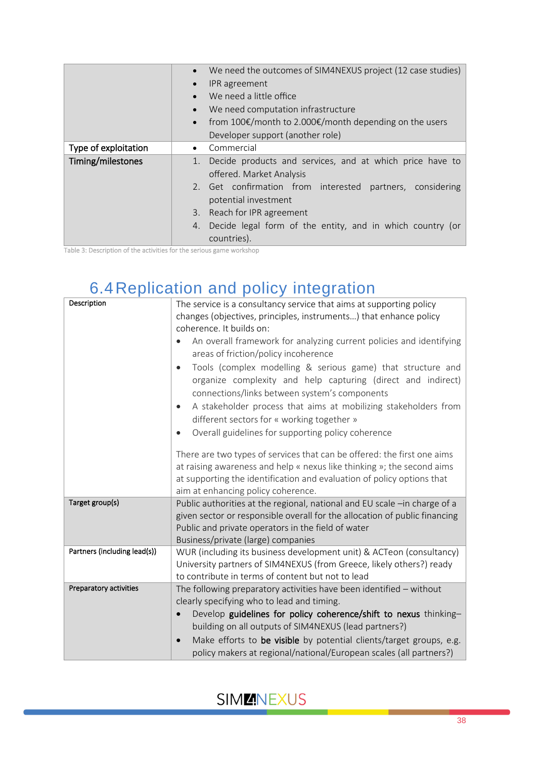|                      | $\bullet$                                                       | We need the outcomes of SIM4NEXUS project (12 case studies) |  |  |
|----------------------|-----------------------------------------------------------------|-------------------------------------------------------------|--|--|
|                      | IPR agreement                                                   |                                                             |  |  |
|                      | We need a little office<br>$\bullet$                            |                                                             |  |  |
|                      | We need computation infrastructure                              |                                                             |  |  |
|                      | $\bullet$                                                       | from 100€/month to 2.000€/month depending on the users      |  |  |
|                      | Developer support (another role)                                |                                                             |  |  |
| Type of exploitation | Commercial<br>$\bullet$                                         |                                                             |  |  |
| Timing/milestones    | Decide products and services, and at which price have to<br>1.  |                                                             |  |  |
|                      | offered. Market Analysis                                        |                                                             |  |  |
|                      | 2. Get confirmation from interested partners, considering       |                                                             |  |  |
|                      | potential investment                                            |                                                             |  |  |
|                      | 3. Reach for IPR agreement                                      |                                                             |  |  |
|                      | Decide legal form of the entity, and in which country (or<br>4. |                                                             |  |  |
|                      | countries).                                                     |                                                             |  |  |

Table 3: Description of the activities for the serious game workshop

# 6.4Replication and policy integration

| Description                  | The service is a consultancy service that aims at supporting policy<br>changes (objectives, principles, instruments) that enhance policy<br>coherence. It builds on:<br>An overall framework for analyzing current policies and identifying<br>areas of friction/policy incoherence<br>Tools (complex modelling & serious game) that structure and<br>$\bullet$<br>organize complexity and help capturing (direct and indirect)<br>connections/links between system's components<br>A stakeholder process that aims at mobilizing stakeholders from<br>$\bullet$<br>different sectors for « working together »<br>Overall guidelines for supporting policy coherence<br>There are two types of services that can be offered: the first one aims<br>at raising awareness and help « nexus like thinking »; the second aims<br>at supporting the identification and evaluation of policy options that<br>aim at enhancing policy coherence. |
|------------------------------|-------------------------------------------------------------------------------------------------------------------------------------------------------------------------------------------------------------------------------------------------------------------------------------------------------------------------------------------------------------------------------------------------------------------------------------------------------------------------------------------------------------------------------------------------------------------------------------------------------------------------------------------------------------------------------------------------------------------------------------------------------------------------------------------------------------------------------------------------------------------------------------------------------------------------------------------|
| Target group(s)              | Public authorities at the regional, national and EU scale -in charge of a<br>given sector or responsible overall for the allocation of public financing<br>Public and private operators in the field of water<br>Business/private (large) companies                                                                                                                                                                                                                                                                                                                                                                                                                                                                                                                                                                                                                                                                                       |
| Partners (including lead(s)) | WUR (including its business development unit) & ACTeon (consultancy)<br>University partners of SIM4NEXUS (from Greece, likely others?) ready<br>to contribute in terms of content but not to lead                                                                                                                                                                                                                                                                                                                                                                                                                                                                                                                                                                                                                                                                                                                                         |
| Preparatory activities       | The following preparatory activities have been identified - without<br>clearly specifying who to lead and timing.<br>Develop guidelines for policy coherence/shift to nexus thinking-<br>building on all outputs of SIM4NEXUS (lead partners?)<br>Make efforts to be visible by potential clients/target groups, e.g.<br>$\bullet$<br>policy makers at regional/national/European scales (all partners?)                                                                                                                                                                                                                                                                                                                                                                                                                                                                                                                                  |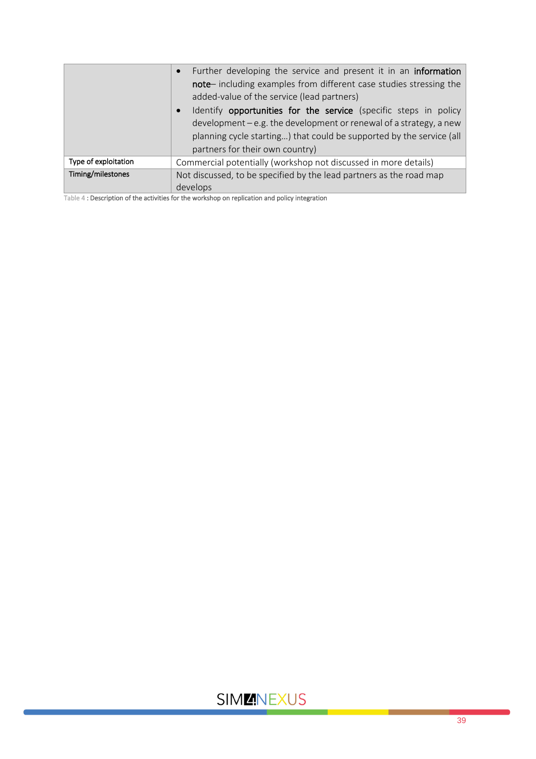| Further developing the service and present it in an information<br>$\bullet$<br>note-including examples from different case studies stressing the<br>added-value of the service (lead partners) |                                                                                                                                                                                                                                                                  |
|-------------------------------------------------------------------------------------------------------------------------------------------------------------------------------------------------|------------------------------------------------------------------------------------------------------------------------------------------------------------------------------------------------------------------------------------------------------------------|
|                                                                                                                                                                                                 | Identify opportunities for the service (specific steps in policy<br>$\bullet$<br>$development - e.g.$ the development or renewal of a strategy, a new<br>planning cycle starting) that could be supported by the service (all<br>partners for their own country) |
| Type of exploitation                                                                                                                                                                            | Commercial potentially (workshop not discussed in more details)                                                                                                                                                                                                  |
| Timing/milestones                                                                                                                                                                               | Not discussed, to be specified by the lead partners as the road map<br>develops                                                                                                                                                                                  |

Table 4 : Description of the activities for the workshop on replication and policy integration